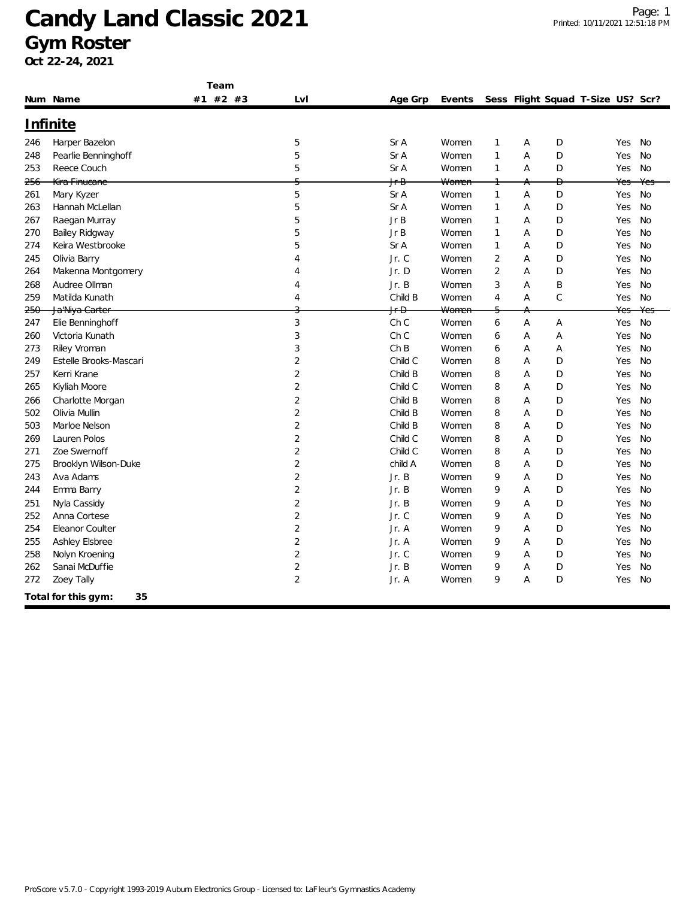| Team |                           |          |                |                 |                  |                |   |             |                                   |     |           |
|------|---------------------------|----------|----------------|-----------------|------------------|----------------|---|-------------|-----------------------------------|-----|-----------|
|      | Num Name                  | #1 #2 #3 | LvI            | Age Grp         | Events           |                |   |             | Sess Flight Squad T-Size US? Scr? |     |           |
|      | Infinite                  |          |                |                 |                  |                |   |             |                                   |     |           |
| 246  | Harper Bazelon            |          | 5              | Sr A            | Women            | $\mathbf{1}$   | A | D           |                                   | Yes | <b>No</b> |
| 248  | Pearlie Benninghoff       |          | 5              | Sr A            | Women            | $\mathbf{1}$   | A | D           |                                   | Yes | <b>No</b> |
| 253  | Reece Couch               |          | 5              | Sr A            | Women            | $\mathbf{1}$   | Α | D           |                                   | Yes | No        |
| 256  | Kira Finucane             |          |                | <del>Jr B</del> | <del>Women</del> |                | А | Đ           |                                   | Yes | Yes       |
| 261  | Mary Kyzer                |          | 5              | Sr A            | Women            | $\mathbf{1}$   | A | D           |                                   | Yes | No        |
| 263  | Hannah McLellan           |          | 5              | Sr A            | Women            | $\mathbf{1}$   | Α | D           |                                   | Yes | No        |
| 267  | Raegan Murray             |          | 5              | JrB             | Women            | $\mathbf{1}$   | A | D           |                                   | Yes | <b>No</b> |
| 270  | Bailey Ridgway            |          | 5              | Jr B            | Women            | $\mathbf{1}$   | A | D           |                                   | Yes | <b>No</b> |
| 274  | Keira Westbrooke          |          | 5              | Sr A            | Women            | $\mathbf{1}$   | A | D           |                                   | Yes | <b>No</b> |
| 245  | Olivia Barry              |          | $\overline{A}$ | Jr. C           | Women            | $\overline{2}$ | Α | D           |                                   | Yes | <b>No</b> |
| 264  | Makenna Montgomery        |          | $\overline{4}$ | Jr.D            | Women            | $\overline{2}$ | A | D           |                                   | Yes | No        |
| 268  | Audree Ollman             |          | $\overline{4}$ | Jr. B           | Women            | 3              | Α | B           |                                   | Yes | <b>No</b> |
| 259  | Matilda Kunath            |          | $\overline{4}$ | Child B         | Women            | 4              | A | $\mathsf C$ |                                   | Yes | No        |
| 250  | Ja'Niya Carter            |          | C              | <del>Jr D</del> | Women            |                | A |             |                                   | Yes | Yes       |
| 247  | Elie Benninghoff          |          | 3              | Ch <sub>C</sub> | Women            | 6              | A | A           |                                   | Yes | <b>No</b> |
| 260  | Victoria Kunath           |          | 3              | Ch <sub>C</sub> | Women            | 6              | A | A           |                                   | Yes | No        |
| 273  | Riley Vroman              |          | 3              | ChB             | Women            | 6              | A | A           |                                   | Yes | <b>No</b> |
| 249  | Estelle Brooks-Mascari    |          | $\overline{2}$ | Child C         | Women            | 8              | A | D           |                                   | Yes | <b>No</b> |
| 257  | Kerri Krane               |          | $\overline{2}$ | Child B         | Women            | 8              | A | D           |                                   | Yes | No        |
| 265  | Kiyliah Moore             |          | $\overline{2}$ | Child C         | Women            | 8              | A | D           |                                   | Yes | <b>No</b> |
| 266  | Charlotte Morgan          |          | $\overline{2}$ | Child B         | Women            | 8              | A | D           |                                   | Yes | <b>No</b> |
| 502  | Olivia Mullin             |          | $\overline{2}$ | Child B         | Women            | 8              | A | D           |                                   | Yes | <b>No</b> |
| 503  | Marloe Nelson             |          | $\overline{2}$ | Child B         | Women            | 8              | A | D           |                                   | Yes | No        |
| 269  | Lauren Polos              |          | $\overline{2}$ | Child C         | Women            | 8              | Α | D           |                                   | Yes | <b>No</b> |
| 271  | Zoe Swernoff              |          | $\sqrt{2}$     | Child C         | Women            | 8              | A | D           |                                   | Yes | <b>No</b> |
| 275  | Brooklyn Wilson-Duke      |          | $\sqrt{2}$     | child A         | Women            | 8              | A | D           |                                   | Yes | <b>No</b> |
| 243  | Ava Adams                 |          | $\overline{2}$ | Jr. B           | Women            | 9              | Α | D           |                                   | Yes | <b>No</b> |
| 244  | Emma Barry                |          | $\overline{2}$ | Jr. B           | Women            | 9              | A | D           |                                   | Yes | No        |
| 251  | Nyla Cassidy              |          | $\overline{2}$ | Jr. B           | Women            | 9              | A | D           |                                   | Yes | <b>No</b> |
| 252  | Anna Cortese              |          | $\overline{2}$ | Jr. C           | Women            | 9              | A | D           |                                   | Yes | <b>No</b> |
| 254  | Eleanor Coulter           |          | $\overline{2}$ | Jr. A           | Women            | 9              | A | D           |                                   | Yes | <b>No</b> |
| 255  | Ashley Elsbree            |          | $\overline{2}$ | Jr. A           | Women            | 9              | A | D           |                                   | Yes | <b>No</b> |
| 258  | Nolyn Kroening            |          | $\overline{2}$ | Jr. C           | Women            | 9              | A | D           |                                   | Yes | No        |
| 262  | Sanai McDuffie            |          | $\sqrt{2}$     | Jr. B           | Women            | 9              | Α | D           |                                   | Yes | <b>No</b> |
| 272  | Zoey Tally                |          | $\overline{2}$ | Jr. A           | Women            | 9              | A | D           |                                   | Yes | <b>No</b> |
|      | 35<br>Total for this gym: |          |                |                 |                  |                |   |             |                                   |     |           |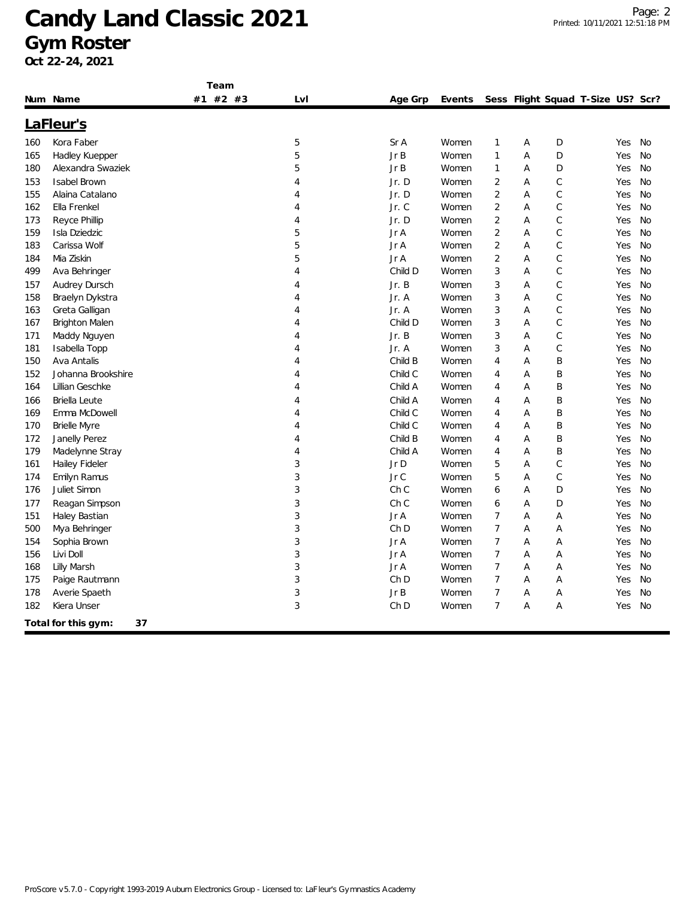| #1 #2 #3<br>Sess Flight Squad T-Size US? Scr?<br>Num Name<br>Lvl<br>Age Grp<br>Events<br>LaFleur's<br>Kora Faber<br>5<br>Sr A<br>Women<br>$\mathbf{1}$<br>Α<br>D<br>Yes<br>No<br>160<br>5<br>Jr B<br>$\mathbf{1}$<br>D<br>Hadley Kuepper<br>Α<br>No<br>Women<br>Yes<br>165<br>5<br>Jr B<br>$\mathbf{1}$<br>Alexandra Swaziek<br>Α<br>D<br>No<br>180<br>Women<br>Yes<br><b>Isabel Brown</b><br>Jr. D<br>$\overline{2}$<br>C<br>4<br>Women<br>Α<br>Yes<br>No<br>$\mathsf C$<br>Alaina Catalano<br>Jr. D<br>$\overline{2}$<br>A<br><b>No</b><br>Women<br>Yes<br>4<br>Jr. C<br>$\overline{2}$<br>С<br>Ella Frenkel<br>Α<br>No<br>4<br>Women<br>Yes<br>Jr. D<br>$\overline{2}$<br>Α<br>$\mathsf C$<br>Reyce Phillip<br>Women<br>No<br>4<br>Yes<br>5<br>Jr A<br>$\overline{2}$<br>Α<br>C<br>Isla Dziedzic<br>Women<br>Yes<br>No<br>5<br>$\mathsf C$<br>$\overline{2}$<br>A<br>Carissa Wolf<br>Jr A<br>Women<br>Yes<br>No<br>5<br>C<br>$\overline{2}$<br>Mia Ziskin<br>Jr A<br>A<br>Women<br>Yes<br>No<br>3<br>$\mathsf C$<br>Child D<br>A<br>Ava Behringer<br>4<br>Women<br>Yes<br>No<br>Jr. B<br>3<br><b>Audrey Dursch</b><br>Women<br>Α<br>С<br>Yes<br>No<br>4<br>3<br>A<br>С<br>Braelyn Dykstra<br>Jr. A<br>Women<br>No<br>4<br>Yes<br>C<br>Jr. A<br>3<br>A<br>Greta Galligan<br>Women<br>Yes<br>No<br>4<br>3<br>$\mathsf C$<br>Child D<br>A<br><b>No</b><br><b>Brighton Malen</b><br>4<br>Women<br>Yes<br>Jr. B<br>Women<br>3<br>Α<br>C<br>No<br>Maddy Nguyen<br>4<br>Yes<br>С<br>Isabella Topp<br>Jr. A<br>Women<br>3<br>Α<br>No<br>4<br>Yes<br>B<br>Ava Antalis<br>4<br>Child B<br>Women<br>$\overline{4}$<br>Α<br>Yes<br>No<br>Johanna Brookshire<br>4<br>Child C<br>Women<br>Α<br>Β<br>No<br>4<br>Yes<br>Lillian Geschke<br>Child A<br>B<br>4<br>Women<br>Α<br>Yes<br>No<br>4<br>Briella Leute<br>Child A<br>Α<br>B<br>Women<br>Yes<br>No<br>4<br>4<br>Emma McDowell<br>Α<br>B<br>Child C<br>Women<br>Yes<br>No<br>4<br>4<br>Child C<br>A<br>B<br><b>Brielle Myre</b><br>Women<br>No<br>4<br>4<br>Yes<br>Janelly Perez<br>Child B<br>A<br>B<br>4<br>Women<br>Yes<br>No<br>4<br>Child A<br>A<br>B<br>Madelynne Stray<br>4<br>Women<br>Yes<br>No<br>$\overline{4}$<br>3<br>С<br>Hailey Fideler<br>Jr D<br>5<br>A<br><b>No</b><br>Women<br>Yes<br>3<br>Jr C<br>5<br>$\mathsf C$<br>Emilyn Ramus<br>Α<br>No<br>Women<br>Yes<br>3<br>Ch <sub>C</sub><br>Juliet Simon<br>Women<br>Α<br>D<br>No<br>6<br>Yes<br>Reagan Simpson<br>3<br>Ch <sub>C</sub><br>D<br>Women<br>Α<br>No<br>6<br>Yes<br>3<br>Jr A<br>$\overline{7}$<br>A<br>A<br>No<br>Haley Bastian<br>Women<br>Yes<br>3<br>$\overline{7}$<br>Ch <sub>D</sub><br>A<br>Α<br>No<br>Mya Behringer<br>Women<br>Yes<br>3<br>$\overline{7}$<br>Sophia Brown<br>Jr A<br>Women<br>Α<br>Α<br>Yes<br>No<br>3<br>$\overline{7}$<br>A<br>Livi Doll<br>Jr A<br>Women<br>Α<br>No<br>156<br>Yes<br>3<br>$\overline{7}$<br>A<br>168<br>Lilly Marsh<br>Jr A<br>Women<br>A<br>Yes<br>No |     |                | Team |   |                 |       |                |   |   |     |    |
|-------------------------------------------------------------------------------------------------------------------------------------------------------------------------------------------------------------------------------------------------------------------------------------------------------------------------------------------------------------------------------------------------------------------------------------------------------------------------------------------------------------------------------------------------------------------------------------------------------------------------------------------------------------------------------------------------------------------------------------------------------------------------------------------------------------------------------------------------------------------------------------------------------------------------------------------------------------------------------------------------------------------------------------------------------------------------------------------------------------------------------------------------------------------------------------------------------------------------------------------------------------------------------------------------------------------------------------------------------------------------------------------------------------------------------------------------------------------------------------------------------------------------------------------------------------------------------------------------------------------------------------------------------------------------------------------------------------------------------------------------------------------------------------------------------------------------------------------------------------------------------------------------------------------------------------------------------------------------------------------------------------------------------------------------------------------------------------------------------------------------------------------------------------------------------------------------------------------------------------------------------------------------------------------------------------------------------------------------------------------------------------------------------------------------------------------------------------------------------------------------------------------------------------------------------------------------------------------------------------------------------------------------------------------------------------------------------------------------------------------------------------------------------------------------------------------------------------------------------------------------------------------------------------------------|-----|----------------|------|---|-----------------|-------|----------------|---|---|-----|----|
|                                                                                                                                                                                                                                                                                                                                                                                                                                                                                                                                                                                                                                                                                                                                                                                                                                                                                                                                                                                                                                                                                                                                                                                                                                                                                                                                                                                                                                                                                                                                                                                                                                                                                                                                                                                                                                                                                                                                                                                                                                                                                                                                                                                                                                                                                                                                                                                                                                                                                                                                                                                                                                                                                                                                                                                                                                                                                                                         |     |                |      |   |                 |       |                |   |   |     |    |
|                                                                                                                                                                                                                                                                                                                                                                                                                                                                                                                                                                                                                                                                                                                                                                                                                                                                                                                                                                                                                                                                                                                                                                                                                                                                                                                                                                                                                                                                                                                                                                                                                                                                                                                                                                                                                                                                                                                                                                                                                                                                                                                                                                                                                                                                                                                                                                                                                                                                                                                                                                                                                                                                                                                                                                                                                                                                                                                         |     |                |      |   |                 |       |                |   |   |     |    |
|                                                                                                                                                                                                                                                                                                                                                                                                                                                                                                                                                                                                                                                                                                                                                                                                                                                                                                                                                                                                                                                                                                                                                                                                                                                                                                                                                                                                                                                                                                                                                                                                                                                                                                                                                                                                                                                                                                                                                                                                                                                                                                                                                                                                                                                                                                                                                                                                                                                                                                                                                                                                                                                                                                                                                                                                                                                                                                                         |     |                |      |   |                 |       |                |   |   |     |    |
|                                                                                                                                                                                                                                                                                                                                                                                                                                                                                                                                                                                                                                                                                                                                                                                                                                                                                                                                                                                                                                                                                                                                                                                                                                                                                                                                                                                                                                                                                                                                                                                                                                                                                                                                                                                                                                                                                                                                                                                                                                                                                                                                                                                                                                                                                                                                                                                                                                                                                                                                                                                                                                                                                                                                                                                                                                                                                                                         |     |                |      |   |                 |       |                |   |   |     |    |
|                                                                                                                                                                                                                                                                                                                                                                                                                                                                                                                                                                                                                                                                                                                                                                                                                                                                                                                                                                                                                                                                                                                                                                                                                                                                                                                                                                                                                                                                                                                                                                                                                                                                                                                                                                                                                                                                                                                                                                                                                                                                                                                                                                                                                                                                                                                                                                                                                                                                                                                                                                                                                                                                                                                                                                                                                                                                                                                         |     |                |      |   |                 |       |                |   |   |     |    |
|                                                                                                                                                                                                                                                                                                                                                                                                                                                                                                                                                                                                                                                                                                                                                                                                                                                                                                                                                                                                                                                                                                                                                                                                                                                                                                                                                                                                                                                                                                                                                                                                                                                                                                                                                                                                                                                                                                                                                                                                                                                                                                                                                                                                                                                                                                                                                                                                                                                                                                                                                                                                                                                                                                                                                                                                                                                                                                                         |     |                |      |   |                 |       |                |   |   |     |    |
|                                                                                                                                                                                                                                                                                                                                                                                                                                                                                                                                                                                                                                                                                                                                                                                                                                                                                                                                                                                                                                                                                                                                                                                                                                                                                                                                                                                                                                                                                                                                                                                                                                                                                                                                                                                                                                                                                                                                                                                                                                                                                                                                                                                                                                                                                                                                                                                                                                                                                                                                                                                                                                                                                                                                                                                                                                                                                                                         | 153 |                |      |   |                 |       |                |   |   |     |    |
|                                                                                                                                                                                                                                                                                                                                                                                                                                                                                                                                                                                                                                                                                                                                                                                                                                                                                                                                                                                                                                                                                                                                                                                                                                                                                                                                                                                                                                                                                                                                                                                                                                                                                                                                                                                                                                                                                                                                                                                                                                                                                                                                                                                                                                                                                                                                                                                                                                                                                                                                                                                                                                                                                                                                                                                                                                                                                                                         | 155 |                |      |   |                 |       |                |   |   |     |    |
|                                                                                                                                                                                                                                                                                                                                                                                                                                                                                                                                                                                                                                                                                                                                                                                                                                                                                                                                                                                                                                                                                                                                                                                                                                                                                                                                                                                                                                                                                                                                                                                                                                                                                                                                                                                                                                                                                                                                                                                                                                                                                                                                                                                                                                                                                                                                                                                                                                                                                                                                                                                                                                                                                                                                                                                                                                                                                                                         | 162 |                |      |   |                 |       |                |   |   |     |    |
|                                                                                                                                                                                                                                                                                                                                                                                                                                                                                                                                                                                                                                                                                                                                                                                                                                                                                                                                                                                                                                                                                                                                                                                                                                                                                                                                                                                                                                                                                                                                                                                                                                                                                                                                                                                                                                                                                                                                                                                                                                                                                                                                                                                                                                                                                                                                                                                                                                                                                                                                                                                                                                                                                                                                                                                                                                                                                                                         | 173 |                |      |   |                 |       |                |   |   |     |    |
|                                                                                                                                                                                                                                                                                                                                                                                                                                                                                                                                                                                                                                                                                                                                                                                                                                                                                                                                                                                                                                                                                                                                                                                                                                                                                                                                                                                                                                                                                                                                                                                                                                                                                                                                                                                                                                                                                                                                                                                                                                                                                                                                                                                                                                                                                                                                                                                                                                                                                                                                                                                                                                                                                                                                                                                                                                                                                                                         | 159 |                |      |   |                 |       |                |   |   |     |    |
|                                                                                                                                                                                                                                                                                                                                                                                                                                                                                                                                                                                                                                                                                                                                                                                                                                                                                                                                                                                                                                                                                                                                                                                                                                                                                                                                                                                                                                                                                                                                                                                                                                                                                                                                                                                                                                                                                                                                                                                                                                                                                                                                                                                                                                                                                                                                                                                                                                                                                                                                                                                                                                                                                                                                                                                                                                                                                                                         | 183 |                |      |   |                 |       |                |   |   |     |    |
|                                                                                                                                                                                                                                                                                                                                                                                                                                                                                                                                                                                                                                                                                                                                                                                                                                                                                                                                                                                                                                                                                                                                                                                                                                                                                                                                                                                                                                                                                                                                                                                                                                                                                                                                                                                                                                                                                                                                                                                                                                                                                                                                                                                                                                                                                                                                                                                                                                                                                                                                                                                                                                                                                                                                                                                                                                                                                                                         | 184 |                |      |   |                 |       |                |   |   |     |    |
|                                                                                                                                                                                                                                                                                                                                                                                                                                                                                                                                                                                                                                                                                                                                                                                                                                                                                                                                                                                                                                                                                                                                                                                                                                                                                                                                                                                                                                                                                                                                                                                                                                                                                                                                                                                                                                                                                                                                                                                                                                                                                                                                                                                                                                                                                                                                                                                                                                                                                                                                                                                                                                                                                                                                                                                                                                                                                                                         | 499 |                |      |   |                 |       |                |   |   |     |    |
|                                                                                                                                                                                                                                                                                                                                                                                                                                                                                                                                                                                                                                                                                                                                                                                                                                                                                                                                                                                                                                                                                                                                                                                                                                                                                                                                                                                                                                                                                                                                                                                                                                                                                                                                                                                                                                                                                                                                                                                                                                                                                                                                                                                                                                                                                                                                                                                                                                                                                                                                                                                                                                                                                                                                                                                                                                                                                                                         | 157 |                |      |   |                 |       |                |   |   |     |    |
|                                                                                                                                                                                                                                                                                                                                                                                                                                                                                                                                                                                                                                                                                                                                                                                                                                                                                                                                                                                                                                                                                                                                                                                                                                                                                                                                                                                                                                                                                                                                                                                                                                                                                                                                                                                                                                                                                                                                                                                                                                                                                                                                                                                                                                                                                                                                                                                                                                                                                                                                                                                                                                                                                                                                                                                                                                                                                                                         | 158 |                |      |   |                 |       |                |   |   |     |    |
|                                                                                                                                                                                                                                                                                                                                                                                                                                                                                                                                                                                                                                                                                                                                                                                                                                                                                                                                                                                                                                                                                                                                                                                                                                                                                                                                                                                                                                                                                                                                                                                                                                                                                                                                                                                                                                                                                                                                                                                                                                                                                                                                                                                                                                                                                                                                                                                                                                                                                                                                                                                                                                                                                                                                                                                                                                                                                                                         | 163 |                |      |   |                 |       |                |   |   |     |    |
|                                                                                                                                                                                                                                                                                                                                                                                                                                                                                                                                                                                                                                                                                                                                                                                                                                                                                                                                                                                                                                                                                                                                                                                                                                                                                                                                                                                                                                                                                                                                                                                                                                                                                                                                                                                                                                                                                                                                                                                                                                                                                                                                                                                                                                                                                                                                                                                                                                                                                                                                                                                                                                                                                                                                                                                                                                                                                                                         | 167 |                |      |   |                 |       |                |   |   |     |    |
|                                                                                                                                                                                                                                                                                                                                                                                                                                                                                                                                                                                                                                                                                                                                                                                                                                                                                                                                                                                                                                                                                                                                                                                                                                                                                                                                                                                                                                                                                                                                                                                                                                                                                                                                                                                                                                                                                                                                                                                                                                                                                                                                                                                                                                                                                                                                                                                                                                                                                                                                                                                                                                                                                                                                                                                                                                                                                                                         | 171 |                |      |   |                 |       |                |   |   |     |    |
|                                                                                                                                                                                                                                                                                                                                                                                                                                                                                                                                                                                                                                                                                                                                                                                                                                                                                                                                                                                                                                                                                                                                                                                                                                                                                                                                                                                                                                                                                                                                                                                                                                                                                                                                                                                                                                                                                                                                                                                                                                                                                                                                                                                                                                                                                                                                                                                                                                                                                                                                                                                                                                                                                                                                                                                                                                                                                                                         | 181 |                |      |   |                 |       |                |   |   |     |    |
|                                                                                                                                                                                                                                                                                                                                                                                                                                                                                                                                                                                                                                                                                                                                                                                                                                                                                                                                                                                                                                                                                                                                                                                                                                                                                                                                                                                                                                                                                                                                                                                                                                                                                                                                                                                                                                                                                                                                                                                                                                                                                                                                                                                                                                                                                                                                                                                                                                                                                                                                                                                                                                                                                                                                                                                                                                                                                                                         | 150 |                |      |   |                 |       |                |   |   |     |    |
|                                                                                                                                                                                                                                                                                                                                                                                                                                                                                                                                                                                                                                                                                                                                                                                                                                                                                                                                                                                                                                                                                                                                                                                                                                                                                                                                                                                                                                                                                                                                                                                                                                                                                                                                                                                                                                                                                                                                                                                                                                                                                                                                                                                                                                                                                                                                                                                                                                                                                                                                                                                                                                                                                                                                                                                                                                                                                                                         | 152 |                |      |   |                 |       |                |   |   |     |    |
|                                                                                                                                                                                                                                                                                                                                                                                                                                                                                                                                                                                                                                                                                                                                                                                                                                                                                                                                                                                                                                                                                                                                                                                                                                                                                                                                                                                                                                                                                                                                                                                                                                                                                                                                                                                                                                                                                                                                                                                                                                                                                                                                                                                                                                                                                                                                                                                                                                                                                                                                                                                                                                                                                                                                                                                                                                                                                                                         | 164 |                |      |   |                 |       |                |   |   |     |    |
|                                                                                                                                                                                                                                                                                                                                                                                                                                                                                                                                                                                                                                                                                                                                                                                                                                                                                                                                                                                                                                                                                                                                                                                                                                                                                                                                                                                                                                                                                                                                                                                                                                                                                                                                                                                                                                                                                                                                                                                                                                                                                                                                                                                                                                                                                                                                                                                                                                                                                                                                                                                                                                                                                                                                                                                                                                                                                                                         | 166 |                |      |   |                 |       |                |   |   |     |    |
|                                                                                                                                                                                                                                                                                                                                                                                                                                                                                                                                                                                                                                                                                                                                                                                                                                                                                                                                                                                                                                                                                                                                                                                                                                                                                                                                                                                                                                                                                                                                                                                                                                                                                                                                                                                                                                                                                                                                                                                                                                                                                                                                                                                                                                                                                                                                                                                                                                                                                                                                                                                                                                                                                                                                                                                                                                                                                                                         | 169 |                |      |   |                 |       |                |   |   |     |    |
|                                                                                                                                                                                                                                                                                                                                                                                                                                                                                                                                                                                                                                                                                                                                                                                                                                                                                                                                                                                                                                                                                                                                                                                                                                                                                                                                                                                                                                                                                                                                                                                                                                                                                                                                                                                                                                                                                                                                                                                                                                                                                                                                                                                                                                                                                                                                                                                                                                                                                                                                                                                                                                                                                                                                                                                                                                                                                                                         | 170 |                |      |   |                 |       |                |   |   |     |    |
|                                                                                                                                                                                                                                                                                                                                                                                                                                                                                                                                                                                                                                                                                                                                                                                                                                                                                                                                                                                                                                                                                                                                                                                                                                                                                                                                                                                                                                                                                                                                                                                                                                                                                                                                                                                                                                                                                                                                                                                                                                                                                                                                                                                                                                                                                                                                                                                                                                                                                                                                                                                                                                                                                                                                                                                                                                                                                                                         | 172 |                |      |   |                 |       |                |   |   |     |    |
|                                                                                                                                                                                                                                                                                                                                                                                                                                                                                                                                                                                                                                                                                                                                                                                                                                                                                                                                                                                                                                                                                                                                                                                                                                                                                                                                                                                                                                                                                                                                                                                                                                                                                                                                                                                                                                                                                                                                                                                                                                                                                                                                                                                                                                                                                                                                                                                                                                                                                                                                                                                                                                                                                                                                                                                                                                                                                                                         | 179 |                |      |   |                 |       |                |   |   |     |    |
|                                                                                                                                                                                                                                                                                                                                                                                                                                                                                                                                                                                                                                                                                                                                                                                                                                                                                                                                                                                                                                                                                                                                                                                                                                                                                                                                                                                                                                                                                                                                                                                                                                                                                                                                                                                                                                                                                                                                                                                                                                                                                                                                                                                                                                                                                                                                                                                                                                                                                                                                                                                                                                                                                                                                                                                                                                                                                                                         | 161 |                |      |   |                 |       |                |   |   |     |    |
|                                                                                                                                                                                                                                                                                                                                                                                                                                                                                                                                                                                                                                                                                                                                                                                                                                                                                                                                                                                                                                                                                                                                                                                                                                                                                                                                                                                                                                                                                                                                                                                                                                                                                                                                                                                                                                                                                                                                                                                                                                                                                                                                                                                                                                                                                                                                                                                                                                                                                                                                                                                                                                                                                                                                                                                                                                                                                                                         | 174 |                |      |   |                 |       |                |   |   |     |    |
|                                                                                                                                                                                                                                                                                                                                                                                                                                                                                                                                                                                                                                                                                                                                                                                                                                                                                                                                                                                                                                                                                                                                                                                                                                                                                                                                                                                                                                                                                                                                                                                                                                                                                                                                                                                                                                                                                                                                                                                                                                                                                                                                                                                                                                                                                                                                                                                                                                                                                                                                                                                                                                                                                                                                                                                                                                                                                                                         | 176 |                |      |   |                 |       |                |   |   |     |    |
|                                                                                                                                                                                                                                                                                                                                                                                                                                                                                                                                                                                                                                                                                                                                                                                                                                                                                                                                                                                                                                                                                                                                                                                                                                                                                                                                                                                                                                                                                                                                                                                                                                                                                                                                                                                                                                                                                                                                                                                                                                                                                                                                                                                                                                                                                                                                                                                                                                                                                                                                                                                                                                                                                                                                                                                                                                                                                                                         | 177 |                |      |   |                 |       |                |   |   |     |    |
|                                                                                                                                                                                                                                                                                                                                                                                                                                                                                                                                                                                                                                                                                                                                                                                                                                                                                                                                                                                                                                                                                                                                                                                                                                                                                                                                                                                                                                                                                                                                                                                                                                                                                                                                                                                                                                                                                                                                                                                                                                                                                                                                                                                                                                                                                                                                                                                                                                                                                                                                                                                                                                                                                                                                                                                                                                                                                                                         | 151 |                |      |   |                 |       |                |   |   |     |    |
|                                                                                                                                                                                                                                                                                                                                                                                                                                                                                                                                                                                                                                                                                                                                                                                                                                                                                                                                                                                                                                                                                                                                                                                                                                                                                                                                                                                                                                                                                                                                                                                                                                                                                                                                                                                                                                                                                                                                                                                                                                                                                                                                                                                                                                                                                                                                                                                                                                                                                                                                                                                                                                                                                                                                                                                                                                                                                                                         | 500 |                |      |   |                 |       |                |   |   |     |    |
|                                                                                                                                                                                                                                                                                                                                                                                                                                                                                                                                                                                                                                                                                                                                                                                                                                                                                                                                                                                                                                                                                                                                                                                                                                                                                                                                                                                                                                                                                                                                                                                                                                                                                                                                                                                                                                                                                                                                                                                                                                                                                                                                                                                                                                                                                                                                                                                                                                                                                                                                                                                                                                                                                                                                                                                                                                                                                                                         | 154 |                |      |   |                 |       |                |   |   |     |    |
|                                                                                                                                                                                                                                                                                                                                                                                                                                                                                                                                                                                                                                                                                                                                                                                                                                                                                                                                                                                                                                                                                                                                                                                                                                                                                                                                                                                                                                                                                                                                                                                                                                                                                                                                                                                                                                                                                                                                                                                                                                                                                                                                                                                                                                                                                                                                                                                                                                                                                                                                                                                                                                                                                                                                                                                                                                                                                                                         |     |                |      |   |                 |       |                |   |   |     |    |
|                                                                                                                                                                                                                                                                                                                                                                                                                                                                                                                                                                                                                                                                                                                                                                                                                                                                                                                                                                                                                                                                                                                                                                                                                                                                                                                                                                                                                                                                                                                                                                                                                                                                                                                                                                                                                                                                                                                                                                                                                                                                                                                                                                                                                                                                                                                                                                                                                                                                                                                                                                                                                                                                                                                                                                                                                                                                                                                         |     |                |      |   |                 |       |                |   |   |     |    |
|                                                                                                                                                                                                                                                                                                                                                                                                                                                                                                                                                                                                                                                                                                                                                                                                                                                                                                                                                                                                                                                                                                                                                                                                                                                                                                                                                                                                                                                                                                                                                                                                                                                                                                                                                                                                                                                                                                                                                                                                                                                                                                                                                                                                                                                                                                                                                                                                                                                                                                                                                                                                                                                                                                                                                                                                                                                                                                                         | 175 | Paige Rautmann |      | 3 | Ch <sub>D</sub> | Women | $\overline{7}$ | A | A | Yes | No |
| 3<br>Averie Spaeth<br>Jr B<br>$\overline{7}$<br>A<br>Women<br>A<br>Yes<br>No                                                                                                                                                                                                                                                                                                                                                                                                                                                                                                                                                                                                                                                                                                                                                                                                                                                                                                                                                                                                                                                                                                                                                                                                                                                                                                                                                                                                                                                                                                                                                                                                                                                                                                                                                                                                                                                                                                                                                                                                                                                                                                                                                                                                                                                                                                                                                                                                                                                                                                                                                                                                                                                                                                                                                                                                                                            | 178 |                |      |   |                 |       |                |   |   |     |    |
| 3<br>$\overline{7}$<br>Kiera Unser<br>Ch <sub>D</sub><br>Α<br>Α<br>Women<br>Yes<br>No                                                                                                                                                                                                                                                                                                                                                                                                                                                                                                                                                                                                                                                                                                                                                                                                                                                                                                                                                                                                                                                                                                                                                                                                                                                                                                                                                                                                                                                                                                                                                                                                                                                                                                                                                                                                                                                                                                                                                                                                                                                                                                                                                                                                                                                                                                                                                                                                                                                                                                                                                                                                                                                                                                                                                                                                                                   | 182 |                |      |   |                 |       |                |   |   |     |    |
| 37<br>Total for this gym:                                                                                                                                                                                                                                                                                                                                                                                                                                                                                                                                                                                                                                                                                                                                                                                                                                                                                                                                                                                                                                                                                                                                                                                                                                                                                                                                                                                                                                                                                                                                                                                                                                                                                                                                                                                                                                                                                                                                                                                                                                                                                                                                                                                                                                                                                                                                                                                                                                                                                                                                                                                                                                                                                                                                                                                                                                                                                               |     |                |      |   |                 |       |                |   |   |     |    |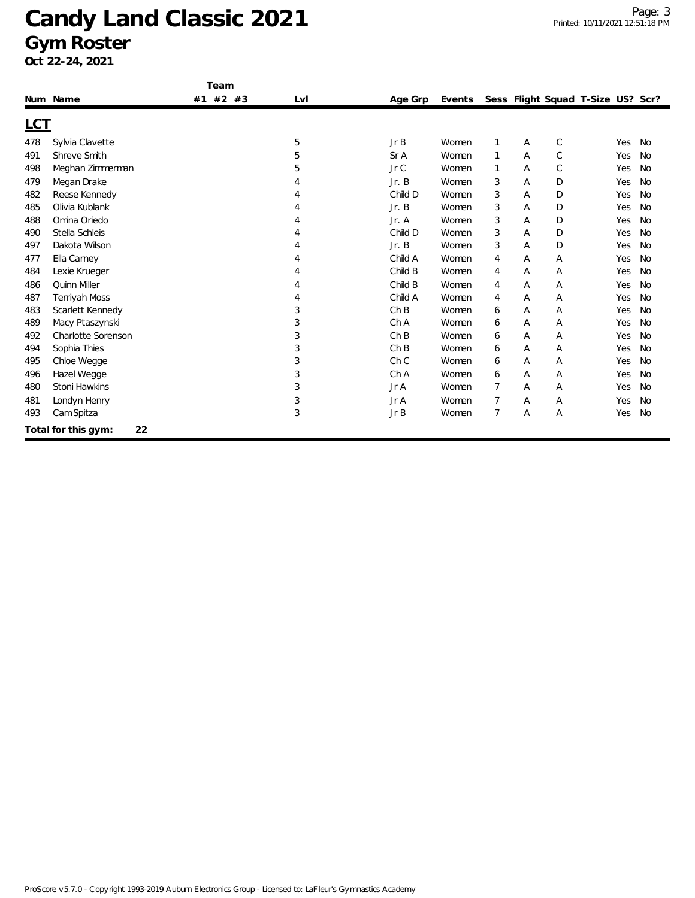|            |                           | Team          |     |                 |        |                |   |              |                                   |           |
|------------|---------------------------|---------------|-----|-----------------|--------|----------------|---|--------------|-----------------------------------|-----------|
|            | Num Name                  | $#2$ #3<br>#1 | LvI | Age Grp         | Events |                |   |              | Sess Flight Squad T-Size US? Scr? |           |
| <u>LCT</u> |                           |               |     |                 |        |                |   |              |                                   |           |
| 478        | Sylvia Clavette           |               | 5   | JrB             | Women  | 1              | Α | C            | Yes                               | <b>No</b> |
| 491        | Shreve Smith              |               | 5   | Sr A            | Women  | 1              | Α | $\mathsf{C}$ | Yes                               | No        |
| 498        | Meghan Zimmerman          |               | 5   | Jr C            | Women  | 1              | Α | $\mathsf{C}$ | Yes                               | No        |
| 479        | Megan Drake               |               |     | Jr. B           | Women  | 3              | Α | D            | Yes                               | <b>No</b> |
| 482        | Reese Kennedy             |               |     | Child D         | Women  | 3              | Α | D            | Yes                               | No        |
| 485        | Olivia Kublank            |               |     | Jr. B           | Women  | 3              | A | D            | Yes                               | <b>No</b> |
| 488        | Omina Oriedo              |               |     | Jr. A           | Women  | 3              | Α | D            | Yes                               | No        |
| 490        | Stella Schleis            |               |     | Child D         | Women  | 3              | Α | D            | Yes                               | No        |
| 497        | Dakota Wilson             |               |     | Jr. B           | Women  | 3              | A | D            | Yes                               | <b>No</b> |
| 477        | Ella Carney               |               |     | Child A         | Women  | 4              | Α | A            | Yes                               | <b>No</b> |
| 484        | Lexie Krueger             |               |     | Child B         | Women  | 4              | Α | Α            | Yes                               | No        |
| 486        | Quinn Miller              |               |     | Child B         | Women  | 4              | Α | A            | Yes                               | <b>No</b> |
| 487        | <b>Terriyah Moss</b>      |               |     | Child A         | Women  | 4              | Α | Α            | Yes                               | No        |
| 483        | Scarlett Kennedy          |               | 3   | ChB             | Women  | 6              | Α | Α            | Yes                               | No        |
| 489        | Macy Ptaszynski           |               | 3   | Ch A            | Women  | 6              | Α | Α            | Yes                               | No        |
| 492        | <b>Charlotte Sorenson</b> |               | 3   | ChB             | Women  | 6              | Α | Α            | Yes                               | No        |
| 494        | Sophia Thies              |               | 3   | ChB             | Women  | 6              | Α | A            | Yes                               | <b>No</b> |
| 495        | Chloe Wegge               |               | 3   | Ch <sub>C</sub> | Women  | 6              | Α | Α            | Yes                               | No        |
| 496        | Hazel Wegge               |               | 3   | Ch A            | Women  | 6              | A | Α            | Yes                               | No        |
| 480        | Stoni Hawkins             |               | 3   | Jr A            | Women  | $\overline{7}$ | Α | Α            | Yes                               | No        |
| 481        | Londyn Henry              |               | 3   | Jr A            | Women  | 7              | Α | Α            | Yes                               | No        |
| 493        | Cam Spitza                |               | 3   | Jr B            | Women  | $\overline{7}$ | Α | Α            | Yes                               | No        |
|            | 22<br>Total for this gym: |               |     |                 |        |                |   |              |                                   |           |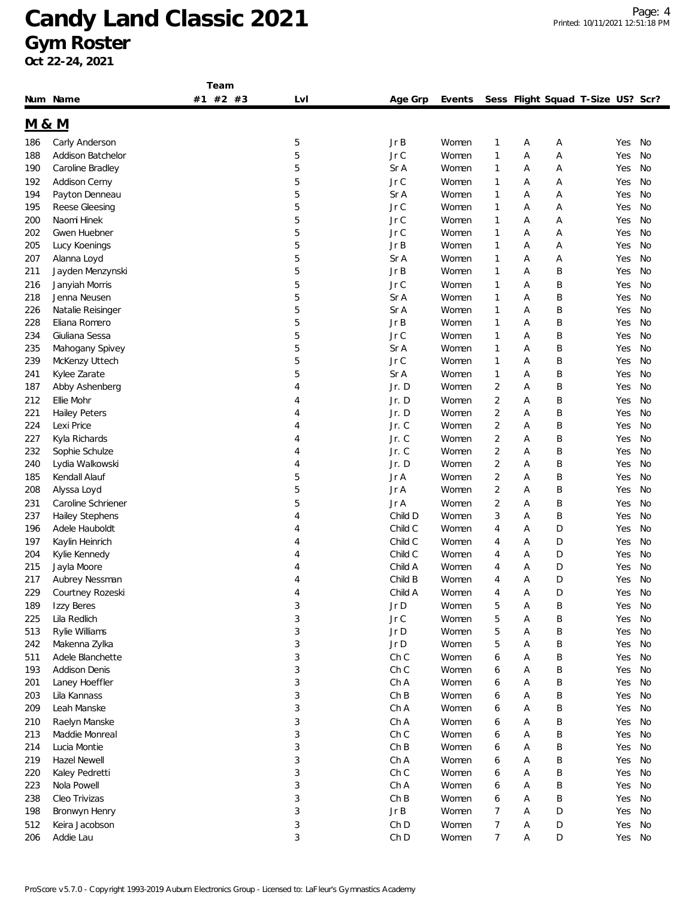**Team**

|                  | Num Name             | #2<br>#3<br>#1 | Lvl | Age Grp  | Events |                |   | Sess Flight Squad T-Size US? Scr? |     |    |
|------------------|----------------------|----------------|-----|----------|--------|----------------|---|-----------------------------------|-----|----|
| <u>M &amp; M</u> |                      |                |     |          |        |                |   |                                   |     |    |
| 186              | Carly Anderson       |                | 5   | Jr B     | Women  | 1              | А | Α                                 | Yes | No |
| 188              | Addison Batchelor    |                | 5   | Jr C     | Women  | 1              | Α | Α                                 | Yes | No |
| 190              | Caroline Bradley     |                | 5   | Sr A     | Women  | 1              | Α | Α                                 | Yes | No |
| 192              | <b>Addison Cerny</b> |                | 5   | Jr C     | Women  | 1              | Α | Α                                 | Yes | No |
| 194              | Payton Denneau       |                | 5   | Sr A     | Women  | 1              | А | Α                                 | Yes | No |
| 195              | Reese Gleesing       |                | 5   | Jr C     | Women  | 1              | Α | Α                                 | Yes | No |
| 200              | Naomi Hinek          |                | 5   | Jr C     | Women  | 1              | Α | Α                                 | Yes | No |
| 202              | <b>Gwen Huebner</b>  |                | 5   | Jr C     | Women  | 1              | А | Α                                 | Yes | No |
| 205              | Lucy Koenings        |                | 5   | Jr B     | Women  | 1              | А | Α                                 | Yes | No |
| 207              | Alanna Loyd          |                | 5   | Sr A     | Women  | 1              | Α | Α                                 | Yes | No |
| 211              | Jayden Menzynski     |                | 5   | Jr B     | Women  | 1              | А | B                                 | Yes | No |
| 216              | Janyiah Morris       |                | 5   | Jr C     | Women  | 1              | Α | Β                                 | Yes | No |
| 218              | Jenna Neusen         |                | 5   | Sr A     | Women  | 1              | Α | Β                                 | Yes | No |
| 226              | Natalie Reisinger    |                | 5   | Sr A     | Women  | 1              | Α | Β                                 | Yes | No |
| 228              | Eliana Romero        |                | 5   | Jr B     | Women  | 1              | Α | Β                                 | Yes | No |
| 234              | Giuliana Sessa       |                | 5   | Jr C     | Women  | 1              | Α | Β                                 | Yes | No |
| 235              | Mahogany Spivey      |                | 5   | Sr A     | Women  | 1              | Α | Β                                 | Yes | No |
| 239              | McKenzy Uttech       |                | 5   | Jr C     | Women  | 1              | Α | Β                                 | Yes | No |
| 241              | Kylee Zarate         |                | 5   | Sr A     | Women  | 1              | А | Β                                 | Yes | No |
| 187              | Abby Ashenberg       |                | 4   | Jr.D     | Women  | $\overline{2}$ | Α | B                                 | Yes | No |
| 212              | Ellie Mohr           |                | 4   | Jr.D     | Women  | $\overline{c}$ | А | B                                 | Yes | No |
| 221              | <b>Hailey Peters</b> |                | 4   | Jr. D    | Women  | $\overline{2}$ | Α | Β                                 | Yes | No |
| 224              | Lexi Price           |                | 4   | Jr. C    | Women  | 2              | Α | Β                                 | Yes | No |
| 227              | Kyla Richards        |                | 4   | Jr. C    | Women  | 2              | А | Β                                 | Yes | No |
| 232              | Sophie Schulze       |                | 4   | Jr. C    | Women  | 2              | Α | Β                                 | Yes | No |
| 240              | Lydia Walkowski      |                | 4   | Jr.D     | Women  | 2              | Α | Β                                 | Yes | No |
| 185              | Kendall Alauf        |                | 5   | Jr A     | Women  | 2              | А | Β                                 | Yes | No |
| 208              | Alyssa Loyd          |                | 5   | Jr A     | Women  | $\overline{2}$ | Α | Β                                 | Yes | No |
| 231              | Caroline Schriener   |                | 5   | Jr A     | Women  | 2              | А | Β                                 | Yes | No |
| 237              | Hailey Stephens      |                | 4   | Child D  | Women  | 3              | Α | B                                 | Yes | No |
| 196              | Adele Hauboldt       |                | 4   | Child C  | Women  | 4              | Α | D                                 | Yes | No |
| 197              | Kaylin Heinrich      |                | 4   | Child C  | Women  | 4              | Α | D                                 | Yes | No |
| 204              | Kylie Kennedy        |                | 4   | Child C  | Women  | 4              | Α | D                                 | Yes | No |
| 215              | Jayla Moore          |                | 4   | Child A  | Women  | 4              | Α | D                                 | Yes | No |
| 217              | Aubrey Nessman       |                | 4   | Child B  | Women  | 4              | Α | D                                 | Yes | No |
| 229              | Courtney Rozeski     |                | 4   | Child A  | Women  | 4              | Α | D                                 | Yes | No |
| 189              | Izzy Beres           |                | 3   | Jr D     | Women  | 5              | Α | Β                                 | Yes | No |
| 225              | Lila Redlich         |                | 3   | Jr C     | Women  | 5              | А | Β                                 | Yes | No |
| 513              | Rylie Williams       |                | 3   | Jr D     | Women  | 5              | Α | Β                                 | Yes | No |
| 242              | Makenna Zylka        |                | 3   | $Jr$ $D$ | Women  | 5              | Α | Β                                 | Yes | No |
| 511              | Adele Blanchette     |                | 3   | Ch C     | Women  | 6              | Α | Β                                 | Yes | No |
| 193              | <b>Addison Denis</b> |                | 3   | Ch C     | Women  | 6              | А | Β                                 | Yes | No |
| 201              | Laney Hoeffler       |                | 3   | Ch A     | Women  | 6              | А | Β                                 | Yes | No |
| 203              | Lila Kannass         |                | 3   | ChB      | Women  | 6              | Α | Β                                 | Yes | No |
| 209              | Leah Manske          |                | 3   | Ch A     | Women  | 6              | Α | Β                                 | Yes | No |
| 210              | Raelyn Manske        |                | 3   | Ch A     | Women  | 6              | Α | Β                                 | Yes | No |
| 213              | Maddie Monreal       |                | 3   | ChC      | Women  | 6              | А | Β                                 | Yes | No |
| 214              | Lucia Montie         |                | 3   | ChB      | Women  | 6              | Α | Β                                 | Yes | No |
| 219              | <b>Hazel Newell</b>  |                | 3   | Ch A     | Women  | 6              | Α | Β                                 | Yes | No |
| 220              | Kaley Pedretti       |                | 3   | Ch C     | Women  | 6              | Α | Β                                 | Yes | No |
| 223              | Nola Powell          |                | 3   | Ch A     | Women  | 6              | А | Β                                 | Yes | No |
| 238              | Cleo Trivizas        |                | 3   | ChB      | Women  | 6              | А | Β                                 | Yes | No |
| 198              | Bronwyn Henry        |                | 3   | JrB      | Women  | 7              | Α | D                                 | Yes | No |
| 512              | Keira Jacobson       |                | 3   | Ch D     | Women  | 7              | Α | D                                 | Yes | No |
| 206              | Addie Lau            |                | 3   | Ch D     | Women  | 7              | Α | D                                 | Yes | No |
|                  |                      |                |     |          |        |                |   |                                   |     |    |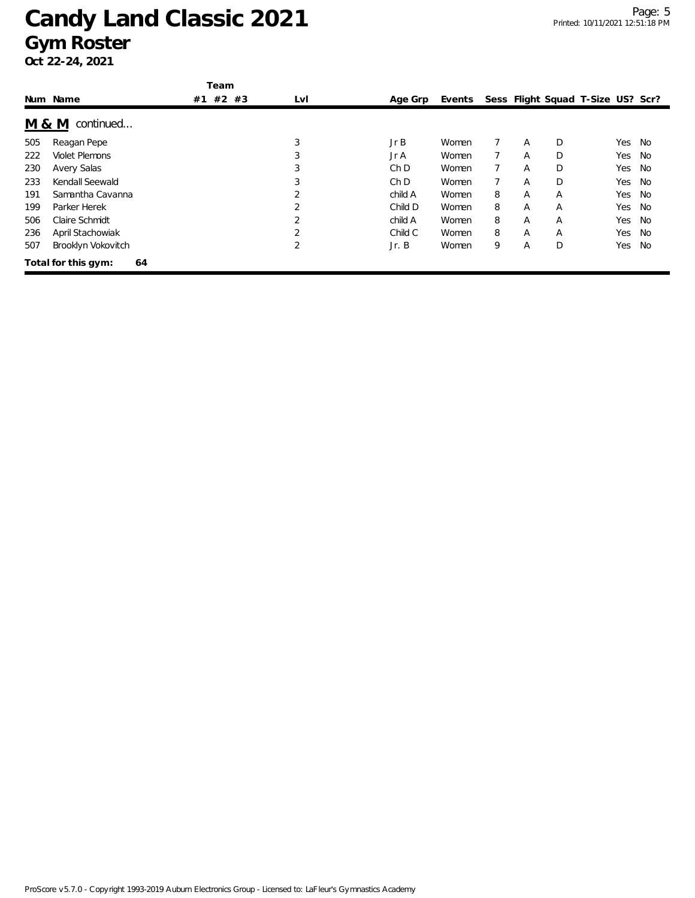|                  |                           | Team        |                |                 |        |   |   |   |                                   |    |
|------------------|---------------------------|-------------|----------------|-----------------|--------|---|---|---|-----------------------------------|----|
|                  | Num Name                  | #2 #3<br>#1 | LvI            | Age Grp         | Events |   |   |   | Sess Flight Squad T-Size US? Scr? |    |
| <u>M &amp; M</u> | continued                 |             |                |                 |        |   |   |   |                                   |    |
| 505              | Reagan Pepe               |             | 3              | JrB             | Women  |   | A | D | Yes                               | No |
| 222              | <b>Violet Plemons</b>     |             | 3              | Jr A            | Women  |   | A | D | Yes                               | No |
| 230              | <b>Avery Salas</b>        |             | 3              | Ch <sub>D</sub> | Women  |   | A | D | Yes                               | No |
| 233              | Kendall Seewald           |             | 3              | Ch D            | Women  |   | A | D | Yes                               | No |
| 191              | Samantha Cavanna          |             | $\mathfrak{D}$ | child A         | Women  | 8 | A | A | Yes                               | No |
| 199              | Parker Herek              |             | $\overline{2}$ | Child D         | Women  | 8 | A | A | Yes                               | No |
| 506              | Claire Schmidt            |             | 2              | child A         | Women  | 8 | A | A | Yes                               | No |
| 236              | April Stachowiak          |             |                | Child C         | Women  | 8 | A | A | Yes                               | No |
| 507              | Brooklyn Vokovitch        |             | 2              | Jr. B           | Women  | 9 | A | D | Yes                               | No |
|                  | Total for this gym:<br>64 |             |                |                 |        |   |   |   |                                   |    |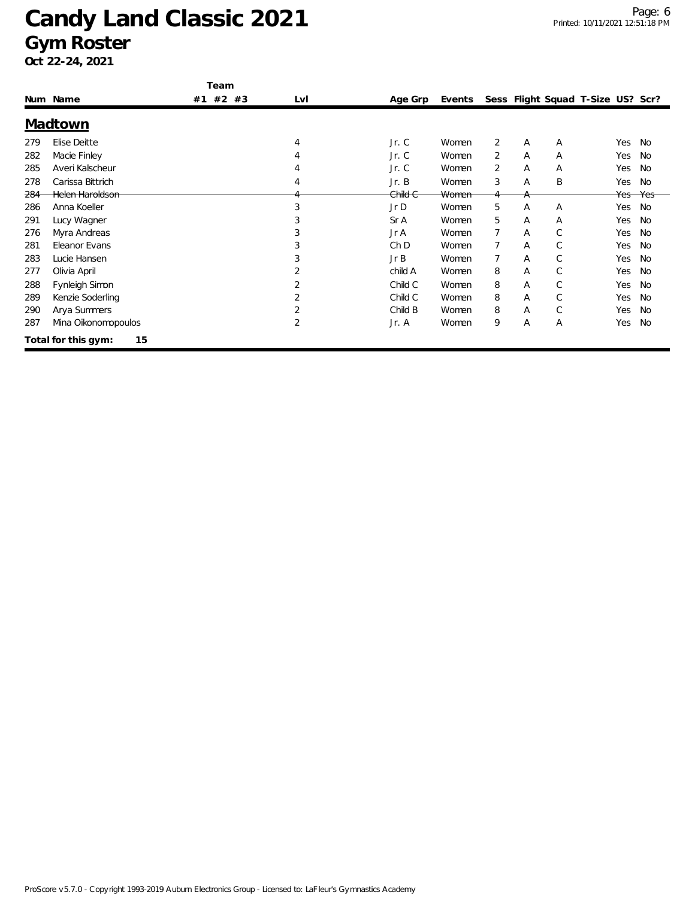|     | Num Name                  | Team<br>#2<br>#3<br>#1 | LvI | Age Grp | Events |   |   |   | Sess Flight Squad T-Size US? Scr? |           |
|-----|---------------------------|------------------------|-----|---------|--------|---|---|---|-----------------------------------|-----------|
|     |                           |                        |     |         |        |   |   |   |                                   |           |
|     | Madtown                   |                        |     |         |        |   |   |   |                                   |           |
| 279 | Elise Deitte              |                        | 4   | Jr. C   | Women  | 2 | A | A | Yes                               | No        |
| 282 | Macie Finley              |                        |     | Jr. C   | Women  | 2 | A | A | Yes                               | No        |
| 285 | Averi Kalscheur           |                        |     | Jr. C   | Women  | 2 | Α | A | Yes                               | <b>No</b> |
| 278 | Carissa Bittrich          |                        | 4   | Jr. B   | Women  | 3 | Α | B | Yes                               | No        |
| 284 | Helen Haroldson           |                        |     | Child C | Women  |   | A |   | Yes                               | Yes       |
| 286 | Anna Koeller              |                        | 3   | Jr D    | Women  | 5 | Α | A | Yes                               | No        |
| 291 | Lucy Wagner               |                        | 3   | Sr A    | Women  | 5 | Α | A | Yes                               | No        |
| 276 | Myra Andreas              |                        | 3   | Jr A    | Women  | 7 | A | C | Yes                               | <b>No</b> |
| 281 | Eleanor Evans             |                        | 3   | Ch D    | Women  | 7 | Α | C | Yes                               | No        |
| 283 | Lucie Hansen              |                        |     | Jr B    | Women  |   | Α | С | Yes                               | No        |
| 277 | Olivia April              |                        |     | child A | Women  | 8 | Α | C | Yes                               | <b>No</b> |
| 288 | Fynleigh Simon            |                        |     | Child C | Women  | 8 | Α | C | Yes                               | <b>No</b> |
| 289 | Kenzie Soderling          |                        |     | Child C | Women  | 8 | A | C | Yes                               | <b>No</b> |
| 290 | Arya Summers              |                        |     | Child B | Women  | 8 | Α | C | Yes                               | <b>No</b> |
| 287 | Mina Oikonomopoulos       |                        | 2   | Jr. A   | Women  | 9 | A | A | Yes                               | No        |
|     | Total for this gym:<br>15 |                        |     |         |        |   |   |   |                                   |           |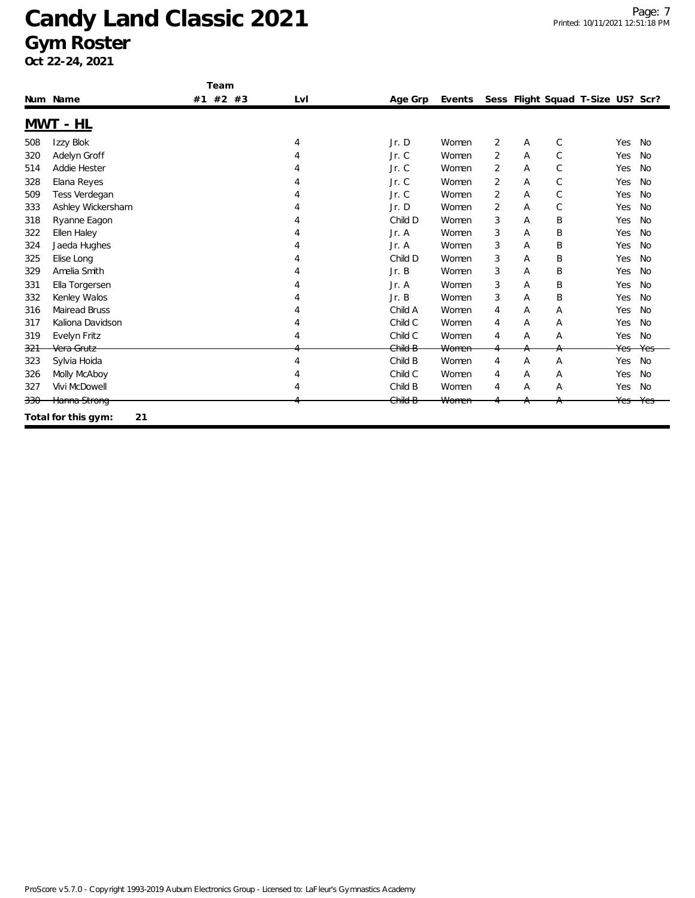|         |                           | Team     |     |         |        |                |   |              |                                   |           |
|---------|---------------------------|----------|-----|---------|--------|----------------|---|--------------|-----------------------------------|-----------|
|         | Num Name                  | #1 #2 #3 | Lvl | Age Grp | Events |                |   |              | Sess Flight Squad T-Size US? Scr? |           |
|         | <u>MWT - HL</u>           |          |     |         |        |                |   |              |                                   |           |
| 508     | Izzy Blok                 |          | 4   | Jr. D   | Women  | 2              | Α | $\mathsf{C}$ | Yes                               | No        |
| 320     | Adelyn Groff              |          |     | Jr. C   | Women  | 2              | A | $\mathsf{C}$ | Yes                               | <b>No</b> |
| 514     | Addie Hester              |          |     | Jr. C   | Women  | 2              | Α | $\mathsf{C}$ | Yes                               | <b>No</b> |
| 328     | Elana Reyes               |          |     | Jr. C   | Women  | 2              | Α | C            | Yes                               | <b>No</b> |
| 509     | Tess Verdegan             |          |     | Jr. C   | Women  | 2              | Α | C            | Yes                               | <b>No</b> |
| 333     | Ashley Wickersham         |          |     | Jr. D   | Women  | $\overline{2}$ | A | C            | Yes                               | <b>No</b> |
| 318     | Ryanne Eagon              |          |     | Child D | Women  | 3              | Α | B            | Yes                               | <b>No</b> |
| 322     | Ellen Haley               |          |     | Jr. A   | Women  | 3              | Α | B            | Yes                               | <b>No</b> |
| 324     | Jaeda Hughes              |          |     | Jr. A   | Women  | 3              | Α | B            | Yes                               | <b>No</b> |
| 325     | Elise Long                |          |     | Child D | Women  | 3              | Α | B            | Yes                               | <b>No</b> |
| 329     | Amelia Smith              |          |     | Jr. B   | Women  | 3              | Α | B            | Yes                               | No        |
| 331     | Ella Torgersen            |          |     | Jr. A   | Women  | 3              | Α | Β            | Yes                               | <b>No</b> |
| 332     | Kenley Walos              |          |     | Jr. B   | Women  | 3              | Α | B            | Yes                               | <b>No</b> |
| 316     | <b>Mairead Bruss</b>      |          |     | Child A | Women  | 4              | Α | Α            | Yes                               | <b>No</b> |
| 317     | Kaliona Davidson          |          |     | Child C | Women  | 4              | Α | Α            | Yes                               | <b>No</b> |
| 319     | Evelyn Fritz              |          |     | Child C | Women  | 4              | Α | Α            | Yes                               | <b>No</b> |
| 321     | Vera Grutz                |          |     | Child B | Women  |                | А | $\uparrow$   | Yes                               | Yes       |
| 323     | Sylvia Hoida              |          | 4   | Child B | Women  | 4              | Α | A            | Yes                               | <b>No</b> |
| 326     | Molly McAboy              |          |     | Child C | Women  | 4              | A | Α            | Yes                               | No        |
| 327     | Vivi McDowell             |          |     | Child B | Women  | 4              | A | A            | Yes                               | No        |
| $330 -$ | Hanna Strong              |          |     | Child B | Women  |                |   |              | Yes                               | Yes       |
|         | 21<br>Total for this gym: |          |     |         |        |                |   |              |                                   |           |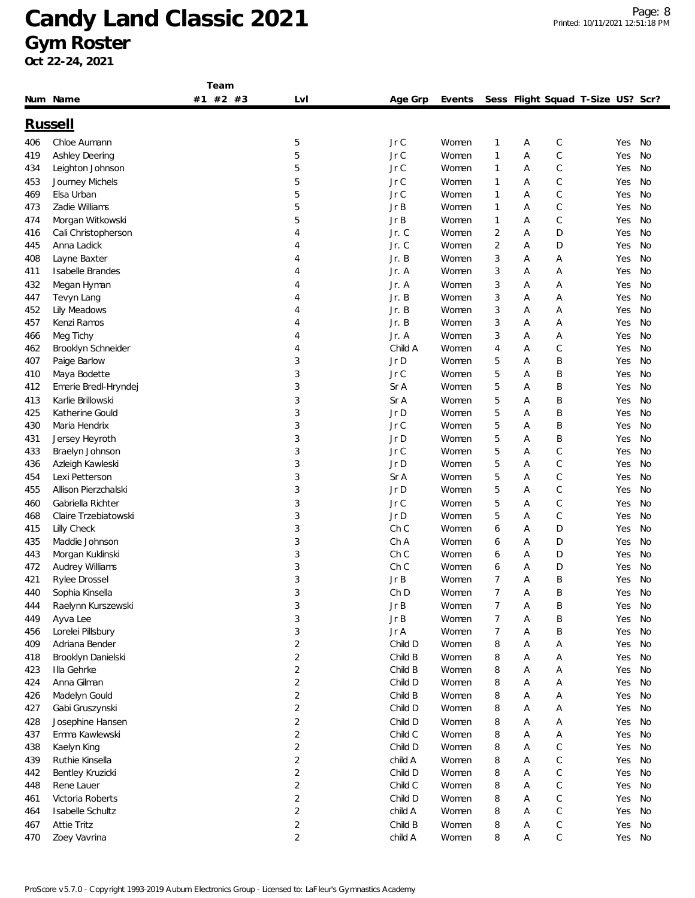**Team**

|     | Num Name              | #2<br>#3<br>#1 | Lvl                     | Age Grp | Events |                |   | Sess Flight Squad T-Size US? Scr? |     |    |
|-----|-----------------------|----------------|-------------------------|---------|--------|----------------|---|-----------------------------------|-----|----|
|     | <u>Russell</u>        |                |                         |         |        |                |   |                                   |     |    |
| 406 | Chloe Aumann          |                | 5                       | Jr C    | Women  | 1              | А | C                                 | Yes | No |
| 419 | <b>Ashley Deering</b> |                | 5                       | Jr C    | Women  | 1              | Α | $\mathsf C$                       | Yes | No |
| 434 | Leighton Johnson      |                | 5                       | Jr C    | Women  | 1              | Α | C                                 | Yes | No |
| 453 | Journey Michels       |                | 5                       | Jr C    | Women  | 1              | Α | C                                 | Yes | No |
| 469 | Elsa Urban            |                | 5                       | Jr C    | Women  | 1              | Α | C                                 | Yes | No |
| 473 | Zadie Williams        |                | 5                       | Jr B    | Women  | 1              | Α | С                                 | Yes | No |
| 474 | Morgan Witkowski      |                | 5                       | Jr B    | Women  | 1              | Α | C                                 | Yes | No |
| 416 | Cali Christopherson   |                | 4                       | Jr. C   | Women  | 2              | Α | D                                 | Yes | No |
| 445 | Anna Ladick           |                | 4                       | Jr. C   | Women  | $\overline{2}$ | Α | D                                 | Yes | No |
| 408 | Layne Baxter          |                | 4                       | Jr. B   | Women  | 3              | Α | Α                                 | Yes | No |
| 411 | Isabelle Brandes      |                | 4                       | Jr. A   | Women  | 3              | Α | Α                                 | Yes | No |
| 432 | Megan Hyman           |                | 4                       | Jr. A   | Women  | 3              | Α | Α                                 | Yes | No |
| 447 | Tevyn Lang            |                | 4                       | Jr. B   | Women  | 3              | Α | Α                                 | Yes | No |
| 452 | Lily Meadows          |                | 4                       | Jr. B   | Women  | 3              | Α | Α                                 | Yes | No |
| 457 | Kenzi Ramos           |                | 4                       | Jr. B   | Women  | 3              | Α | Α                                 | Yes | No |
| 466 | Meg Tichy             |                | 4                       | Jr. A   | Women  | 3              | Α | A                                 | Yes | No |
| 462 | Brooklyn Schneider    |                | 4                       | Child A | Women  | 4              | Α | С                                 | Yes | No |
| 407 | Paige Barlow          |                | 3                       | Jr D    | Women  | 5              | Α | Β                                 | Yes | No |
| 410 | Maya Bodette          |                | 3                       | Jr C    | Women  | 5              | Α | Β                                 | Yes | No |
| 412 | Emerie Bredl-Hryndej  |                | 3                       | Sr A    | Women  | 5              | Α | B                                 | Yes | No |
| 413 | Karlie Brillowski     |                | 3                       | Sr A    | Women  | 5              | Α | B                                 | Yes | No |
| 425 | Katherine Gould       |                | 3                       | Jr D    | Women  | 5              | A | Β                                 | Yes | No |
| 430 | Maria Hendrix         |                | 3                       | Jr C    | Women  | 5              | Α | B                                 | Yes | No |
| 431 | Jersey Heyroth        |                | 3                       | Jr D    | Women  | 5              | А | Β                                 | Yes | No |
| 433 | Braelyn Johnson       |                | 3                       | Jr C    | Women  | 5              | Α | C                                 | Yes | No |
| 436 | Azleigh Kawleski      |                | 3                       | Jr D    | Women  | 5              | Α | C                                 | Yes | No |
| 454 | Lexi Petterson        |                | 3                       | Sr A    | Women  | 5              | Α | C                                 | Yes | No |
| 455 | Allison Pierzchalski  |                | 3                       | Jr D    | Women  | 5              | Α | C                                 | Yes | No |
| 460 | Gabriella Richter     |                | 3                       | Jr C    | Women  | 5              | Α | C                                 | Yes | No |
| 468 | Claire Trzebiatowski  |                | 3                       | Jr D    | Women  | 5              | Α | C                                 | Yes | No |
| 415 | Lilly Check           |                | 3                       | Ch C    | Women  | 6              | Α | D                                 | Yes | No |
| 435 | Maddie Johnson        |                | 3                       | Ch A    | Women  | 6              | Α | D                                 | Yes | No |
| 443 | Morgan Kuklinski      |                | 3                       | Ch C    | Women  | 6              | Α | D                                 | Yes | No |
| 472 | Audrey Williams       |                | 3                       | Ch C    | Women  | 6              | Α | D                                 | Yes | No |
| 421 | Rylee Drossel         |                | 3                       | Jr B    | Women  | 7              | Α | Β                                 | Yes | No |
| 440 | Sophia Kinsella       |                | 3                       | Ch D    | Women  | $\overline{7}$ | Α | B                                 | Yes | No |
| 444 | Raelynn Kurszewski    |                | 3                       | JrB     | Women  |                | Α | Β                                 | Yes | No |
| 449 | Ayva Lee              |                | 3                       | Jr B    | Women  | 7              | А | Β                                 | Yes | No |
| 456 | Lorelei Pillsbury     |                | 3                       | Jr A    | Women  | 7              | А | Β                                 | Yes | No |
| 409 | Adriana Bender        |                | $\overline{\mathbf{c}}$ | Child D | Women  | 8              | Α | Α                                 | Yes | No |
| 418 | Brooklyn Danielski    |                | $\overline{2}$          | Child B | Women  | 8              | Α | А                                 | Yes | No |
| 423 | Illa Gehrke           |                | 2                       | Child B | Women  | 8              | А | Α                                 | Yes | No |
| 424 | Anna Gilman           |                | 2                       | Child D | Women  | 8              | А | Α                                 | Yes | No |
| 426 | Madelyn Gould         |                | $\overline{2}$          | Child B | Women  | 8              | Α | Α                                 | Yes | No |
| 427 | Gabi Gruszynski       |                | $\overline{2}$          | Child D | Women  | 8              | А | Α                                 | Yes | No |
| 428 | Josephine Hansen      |                | $\overline{2}$          | Child D | Women  | 8              | Α | Α                                 | Yes | No |
| 437 | Emma Kawlewski        |                | $\overline{c}$          | Child C | Women  | 8              | А | Α                                 | Yes | No |
| 438 | Kaelyn King           |                | $\overline{c}$          | Child D | Women  | 8              | Α | C                                 | Yes | No |
| 439 | Ruthie Kinsella       |                | $\overline{c}$          | child A | Women  | 8              | Α | $\mathsf C$                       | Yes | No |
| 442 | Bentley Kruzicki      |                | $\overline{c}$          | Child D | Women  | 8              | Α | C                                 | Yes | No |
| 448 | Rene Lauer            |                | $\overline{2}$          | Child C | Women  | 8              | А | С                                 | Yes | No |
| 461 | Victoria Roberts      |                | $\overline{2}$          | Child D | Women  | 8              | А | C                                 | Yes | No |
| 464 | Isabelle Schultz      |                | 2                       | child A | Women  | 8              | А | C                                 | Yes | No |
| 467 | Attie Tritz           |                | $\overline{c}$          | Child B | Women  | 8              | А | С                                 | Yes | No |
| 470 | Zoey Vavrina          |                | $\overline{2}$          | child A | Women  | 8              | Α | С                                 | Yes | No |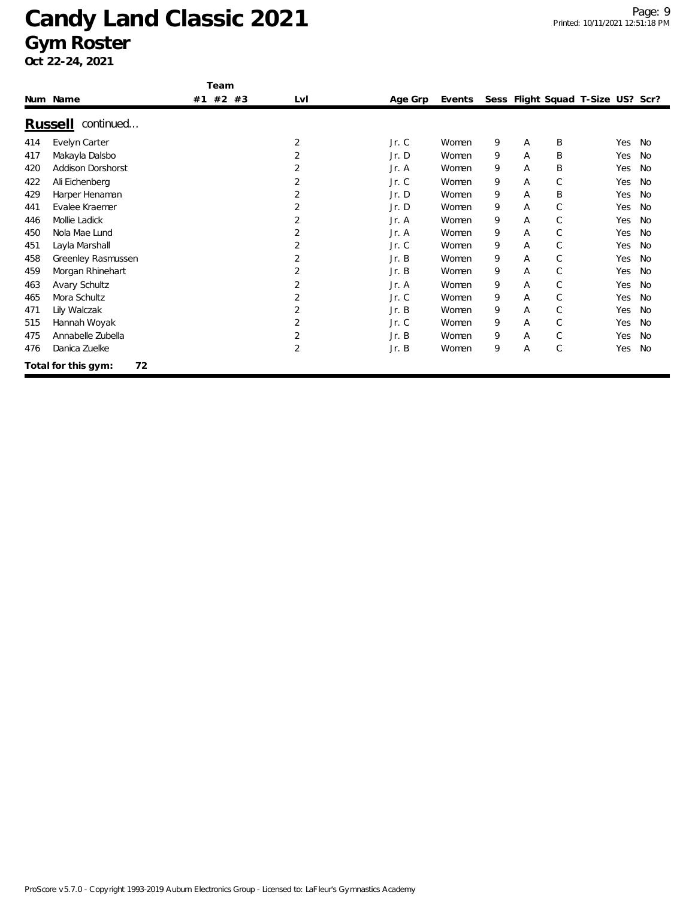|     |                             | Team     |                |         |        |   |   |              |                                   |     |           |
|-----|-----------------------------|----------|----------------|---------|--------|---|---|--------------|-----------------------------------|-----|-----------|
|     | Num Name                    | #1 #2 #3 | LvI            | Age Grp | Events |   |   |              | Sess Flight Squad T-Size US? Scr? |     |           |
|     | continued<br><u>Russell</u> |          |                |         |        |   |   |              |                                   |     |           |
| 414 | Evelyn Carter               |          | 2              | Jr.C    | Women  | 9 | Α | B            |                                   | Yes | <b>No</b> |
| 417 | Makayla Dalsbo              |          | 2              | Jr.D    | Women  | 9 | A | B            |                                   | Yes | <b>No</b> |
| 420 | <b>Addison Dorshorst</b>    |          | 2              | Jr. A   | Women  | 9 | Α | B            |                                   | Yes | No        |
| 422 | Ali Eichenberg              |          | 2              | Jr.C    | Women  | 9 | Α | $\mathsf{C}$ |                                   | Yes | No        |
| 429 | Harper Henaman              |          | 2              | Jr.D    | Women  | 9 | A | B            |                                   | Yes | No        |
| 441 | Evalee Kraemer              |          | 2              | Jr. D   | Women  | 9 | A | $\mathsf{C}$ |                                   | Yes | No        |
| 446 | Mollie Ladick               |          | 2              | Jr. A   | Women  | 9 | A | $\mathsf{C}$ |                                   | Yes | <b>No</b> |
| 450 | Nola Mae Lund               |          | 2              | Jr. A   | Women  | 9 | A | $\mathsf{C}$ |                                   | Yes | No        |
| 451 | Layla Marshall              |          | 2              | Jr.C    | Women  | 9 | Α | $\mathsf{C}$ |                                   | Yes | No        |
| 458 | Greenley Rasmussen          |          | 2              | Jr. B   | Women  | 9 | A | $\mathsf{C}$ |                                   | Yes | <b>No</b> |
| 459 | Morgan Rhinehart            |          | $\overline{2}$ | Jr. B   | Women  | 9 | Α | C            |                                   | Yes | No        |
| 463 | Avary Schultz               |          | 2              | Jr. A   | Women  | 9 | A | $\mathsf{C}$ |                                   | Yes | <b>No</b> |
| 465 | Mora Schultz                |          | 2              | Jr.C    | Women  | 9 | A | $\mathsf{C}$ |                                   | Yes | No        |
| 471 | Lily Walczak                |          | 2              | Jr. B   | Women  | 9 | A | $\mathsf{C}$ |                                   | Yes | No        |
| 515 | Hannah Woyak                |          | 2              | Jr.C    | Women  | 9 | A | $\mathsf{C}$ |                                   | Yes | No        |
| 475 | Annabelle Zubella           |          | 2              | Jr. B   | Women  | 9 | Α | C            |                                   | Yes | No        |
| 476 | Danica Zuelke               |          | 2              | Jr. B   | Women  | 9 | Α | $\mathsf{C}$ |                                   | Yes | <b>No</b> |
|     | 72<br>Total for this gym:   |          |                |         |        |   |   |              |                                   |     |           |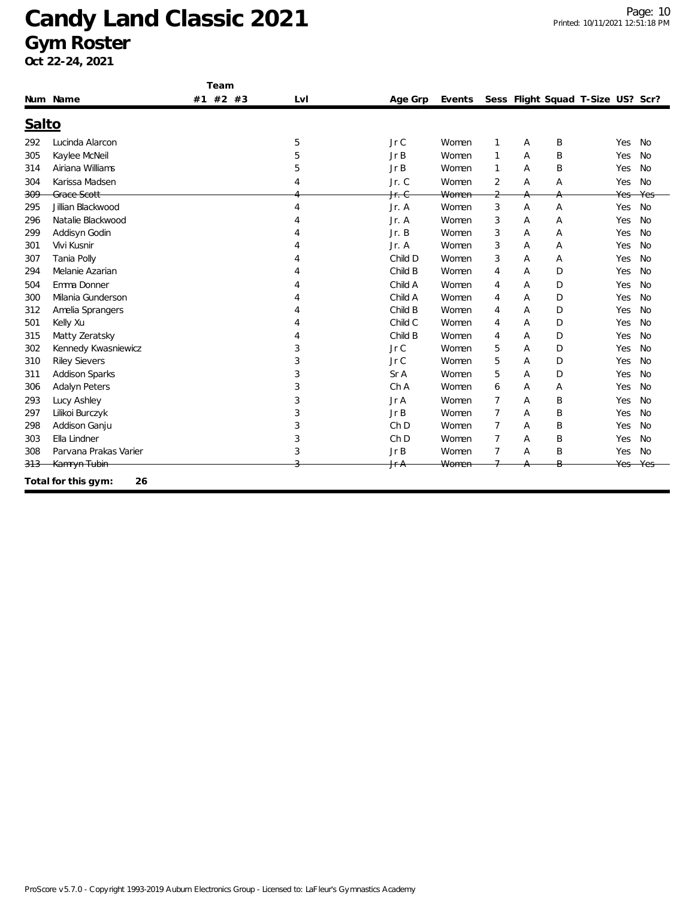|       |                           | Team     |     |                  |        |                |   |   |                                   |           |
|-------|---------------------------|----------|-----|------------------|--------|----------------|---|---|-----------------------------------|-----------|
|       | Num Name                  | #1 #2 #3 | Lvl | Age Grp          | Events |                |   |   | Sess Flight Squad T-Size US? Scr? |           |
| Salto |                           |          |     |                  |        |                |   |   |                                   |           |
| 292   | Lucinda Alarcon           |          | 5   | JrC              | Women  | 1              | Α | B | Yes                               | <b>No</b> |
| 305   | Kaylee McNeil             |          | 5   | JrB              | Women  | 1              | Α | B | Yes                               | <b>No</b> |
| 314   | Airiana Williams          |          | 5   | JrB              | Women  | 1              | A | B | Yes                               | <b>No</b> |
| 304   | Karissa Madsen            |          | 4   | Jr. C            | Women  | 2              | Α | Α | Yes                               | <b>No</b> |
| 309   | Grace Scott               |          |     | <del>Jr. C</del> | Women  | $\overline{2}$ | A |   | Yes                               | Yes       |
| 295   | Jillian Blackwood         |          | 4   | Jr. A            | Women  | 3              | A | A | Yes                               | <b>No</b> |
| 296   | Natalie Blackwood         |          |     | Jr. A            | Women  | 3              | Α | A | Yes                               | <b>No</b> |
| 299   | Addisyn Godin             |          |     | Jr. B            | Women  | 3              | Α | Α | Yes                               | <b>No</b> |
| 301   | Vivi Kusnir               |          |     | Jr. A            | Women  | 3              | Α | Α | Yes                               | <b>No</b> |
| 307   | Tania Polly               |          |     | Child D          | Women  | 3              | Α | Α | Yes                               | No        |
| 294   | Melanie Azarian           |          |     | Child B          | Women  | $\overline{4}$ | A | D | Yes                               | <b>No</b> |
| 504   | Emma Donner               |          |     | Child A          | Women  | 4              | A | D | Yes                               | No        |
| 300   | Milania Gunderson         |          |     | Child A          | Women  | $\overline{4}$ | Α | D | Yes                               | No        |
| 312   | Amelia Sprangers          |          |     | Child B          | Women  | $\overline{4}$ | Α | D | Yes                               | <b>No</b> |
| 501   | Kelly Xu                  |          |     | Child C          | Women  | $\overline{4}$ | A | D | Yes                               | <b>No</b> |
| 315   | Matty Zeratsky            |          |     | Child B          | Women  | 4              | A | D | Yes                               | <b>No</b> |
| 302   | Kennedy Kwasniewicz       |          | 3   | Jr C             | Women  | 5              | A | D | Yes                               | <b>No</b> |
| 310   | <b>Riley Sievers</b>      |          | 3   | Jr C             | Women  | 5              | Α | D | Yes                               | <b>No</b> |
| 311   | <b>Addison Sparks</b>     |          | 3   | Sr A             | Women  | 5              | Α | D | Yes                               | <b>No</b> |
| 306   | <b>Adalyn Peters</b>      |          | 3   | Ch A             | Women  | 6              | Α | Α | Yes                               | <b>No</b> |
| 293   | Lucy Ashley               |          | 3   | Jr A             | Women  | $\overline{7}$ | A | B | Yes                               | <b>No</b> |
| 297   | Lilikoi Burczyk           |          | 3   | JrB              | Women  | $\overline{7}$ | A | B | Yes                               | <b>No</b> |
| 298   | Addison Ganju             |          | 3   | Ch <sub>D</sub>  | Women  | $\overline{7}$ | Α | B | Yes                               | No        |
| 303   | Ella Lindner              |          | 3   | Ch <sub>D</sub>  | Women  | $\overline{7}$ | Α | B | Yes                               | <b>No</b> |
| 308   | Parvana Prakas Varier     |          | 3   | Jr B             | Women  | $\overline{7}$ | Α | Β | Yes                               | <b>No</b> |
| 313   | Kamryn Tubin              |          |     | <del>Jr A</del>  | Women  |                |   | B | Yes                               |           |
|       | Total for this gym:<br>26 |          |     |                  |        |                |   |   |                                   |           |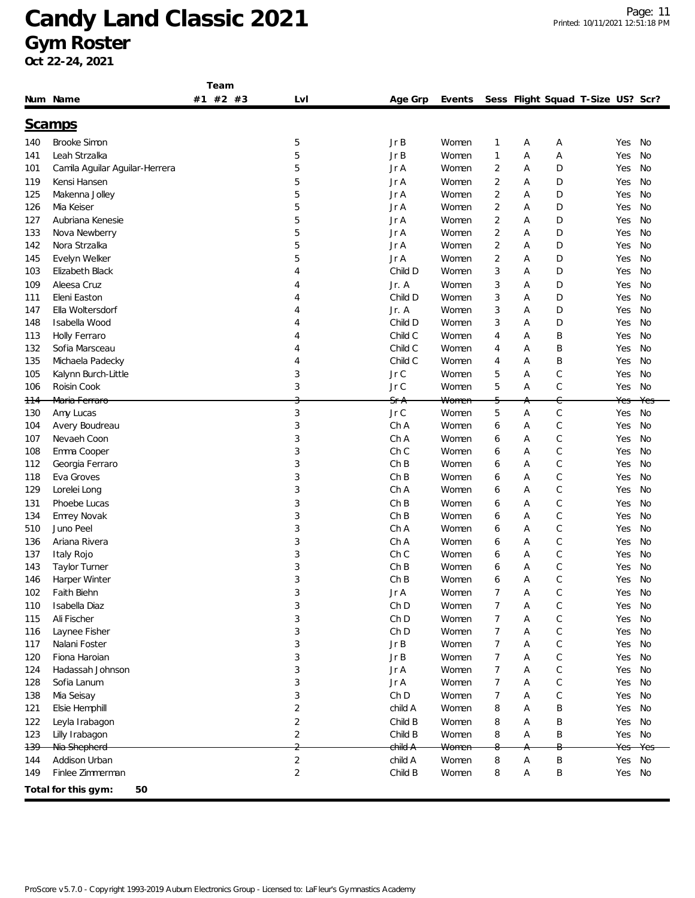|                 |                                | Team     |                |         |        |                |        |                                   |            |           |
|-----------------|--------------------------------|----------|----------------|---------|--------|----------------|--------|-----------------------------------|------------|-----------|
|                 | Num Name                       | #1 #2 #3 | Lvl            | Age Grp | Events |                |        | Sess Flight Squad T-Size US? Scr? |            |           |
|                 |                                |          |                |         |        |                |        |                                   |            |           |
|                 | <u>Scamps</u>                  |          |                |         |        |                |        |                                   |            |           |
| 140             | <b>Brooke Simon</b>            |          | 5              | Jr B    | Women  | 1              | Α      | Α                                 | Yes        | No        |
| 141             | Leah Strzalka                  |          | 5              | Jr B    | Women  | 1              | Α      | Α                                 | Yes        | <b>No</b> |
| 101             | Camila Aguilar Aguilar-Herrera |          | 5              | Jr A    | Women  | $\overline{2}$ | Α      | D                                 | Yes        | No        |
| 119             | Kensi Hansen                   |          | 5              | Jr A    | Women  | $\overline{2}$ | Α      | D                                 | Yes        | No        |
| 125             | Makenna Jolley                 |          | 5              | Jr A    | Women  | $\overline{2}$ | Α      | D                                 | Yes        | No        |
| 126             | Mia Keiser                     |          | 5              | Jr A    | Women  | $\overline{2}$ | Α      | D                                 | Yes        | No        |
| 127             | Aubriana Kenesie               |          | 5              | Jr A    | Women  | 2              | Α      | D                                 | Yes        | No        |
| 133             | Nova Newberry                  |          | 5              | Jr A    | Women  | 2              | Α      | D                                 | Yes        | No        |
| 142             | Nora Strzalka                  |          | 5              | Jr A    | Women  | 2              | Α      | D                                 | Yes        | No        |
| 145             | Evelyn Welker                  |          | 5              | Jr A    | Women  | $\overline{2}$ | Α      | D                                 | Yes        | No        |
| 103             | Elizabeth Black                |          | 4              | Child D | Women  | 3              | Α      | D                                 | Yes        | No        |
| 109             | Aleesa Cruz                    |          | 4              | Jr. A   | Women  | 3              | Α      | D                                 | Yes        | No        |
| 111             | Eleni Easton                   |          | 4              | Child D | Women  | 3              | Α      | D                                 | Yes        | No        |
| 147             | Ella Woltersdorf               |          | 4              | Jr. A   | Women  | 3              | Α      | D                                 | Yes        | No        |
| 148             | Isabella Wood                  |          | 4              | Child D | Women  | 3              | Α      | D                                 | Yes        | No        |
| 113             | Holly Ferraro                  |          | 4              | Child C | Women  | 4              | Α      | Β                                 | Yes        | No        |
| 132             | Sofia Marsceau                 |          | 4              | Child C | Women  | 4              | Α      | B                                 | Yes        | No        |
| 135             | Michaela Padecky               |          | 4              | Child C | Women  | 4              | Α      | B                                 | Yes        | No        |
| 105             | Kalynn Burch-Little            |          | 3              | Jr C    | Women  | 5              | Α      | $\mathsf C$                       | Yes        | No        |
| 106             | Roisin Cook                    |          | 3              | Jr C    | Women  | 5              | Α      | $\mathsf C$                       | Yes        | No        |
| <del>11</del> 4 | Maria Ferraro                  |          | 3              | SfA     | Women  | 5              | Α      | C                                 | Yes        | Yes       |
| 130             | Amy Lucas                      |          | 3              | Jr C    | Women  | 5              | Α      | $\mathsf C$                       | Yes        | No        |
| 104             | Avery Boudreau                 |          | 3              | Ch A    | Women  | 6              | Α      | $\mathsf C$                       | Yes        | No        |
| 107             | Nevaeh Coon                    |          | 3              | Ch A    | Women  | 6              | Α      | $\mathcal{C}$                     | Yes        | No        |
| 108             | Emma Cooper                    |          | 3              | Ch C    | Women  | 6              | Α      | $\mathsf C$                       | Yes        | No        |
| 112             | Georgia Ferraro                |          | 3              | Ch B    | Women  | 6              | Α      | $\mathsf C$                       | Yes        | No        |
| 118             | Eva Groves                     |          | 3              | ChB     | Women  | 6              | Α      | $\mathsf C$                       | Yes        | No        |
| 129             | Lorelei Long                   |          | 3              | Ch A    | Women  | 6              | Α      | $\mathcal{C}$                     | Yes        | No        |
| 131             | Phoebe Lucas                   |          | 3              | ChB     | Women  | 6              | Α      | $\mathsf C$                       | Yes        | No        |
| 134             | Emrey Novak                    |          | 3              | ChB     | Women  | 6              | Α      | $\mathsf C$                       | Yes        | No        |
| 510             | Juno Peel                      |          | 3              | Ch A    | Women  | 6              | Α      | $\mathsf C$                       | Yes        | No        |
| 136             | Ariana Rivera                  |          | 3              | Ch A    | Women  | 6              | Α      | $\mathsf C$                       | Yes        | No        |
| 137             | Italy Rojo                     |          | 3              | Ch C    | Women  | 6              | Α      | $\mathsf{C}$                      | Yes        | No        |
| 143             | Taylor Turner                  |          | 3              | Ch B    | Women  | 6              | А      | $\mathsf C$                       | Yes        | <b>No</b> |
| 146             | Harper Winter                  |          | 3              | ChB     | Women  | 6              | Α      | $\mathcal{C}$                     | Yes        | No        |
| 102             | Faith Biehn                    |          | 3              | Jr A    | Women  | 7              | Α      | C                                 | Yes        | No        |
| 110             | Isabella Diaz                  |          | 3              | Ch D    | Women  | 7              | Α      | $\mathsf C$                       | Yes        | No        |
| 115             | Ali Fischer                    |          | 3              | Ch D    | Women  | 7              | А      | $\mathsf C$                       | Yes        | No        |
| 116             | Laynee Fisher                  |          | 3              | Ch D    | Women  | 7              | А      | $\mathsf C$                       | Yes        | No        |
| 117             | Nalani Foster                  |          | 3              | JrB     | Women  | 7              | Α      | $\mathsf C$                       | Yes        | No        |
| 120             | Fiona Haroian                  |          | 3              | Jr B    | Women  | 7              | Α      | $\mathsf C$                       | Yes        | No        |
| 124             | Hadassah Johnson               |          | 3              | Jr A    | Women  | 7              | Α      | $\mathsf C$                       | Yes        | No        |
| 128             | Sofia Lanum                    |          | 3              | Jr A    | Women  | 7              | Α      | $\mathsf C$                       | Yes        | No        |
| 138             | Mia Seisay                     |          | 3              | Ch D    | Women  | 7              | Α      | C                                 | Yes        | No        |
| 121             | Elsie Hemphill                 |          | 2              | child A | Women  | 8              | Α      | Β                                 | Yes        | No        |
| 122             | Leyla Irabagon                 |          | 2              | Child B | Women  | 8              | Α      | Β                                 | Yes        | No        |
|                 |                                |          | $\overline{c}$ | Child B | Women  |                |        |                                   |            | No        |
| 123<br>139      | Lilly Irabagon                 |          | $\overline{a}$ | child A | Women  | 8<br>8         | Α      | Β<br>В                            | Yes<br>Yes | Yes       |
|                 | Nia Shepherd<br>Addison Urban  |          | $\sqrt{2}$     | child A | Women  |                | Α<br>Α | B                                 | Yes        | No        |
| 144<br>149      | Finlee Zimmerman               |          | $\overline{c}$ | Child B | Women  | 8<br>8         | Α      | Β                                 | Yes        | No        |
|                 |                                |          |                |         |        |                |        |                                   |            |           |
|                 | Total for this gym:<br>50      |          |                |         |        |                |        |                                   |            |           |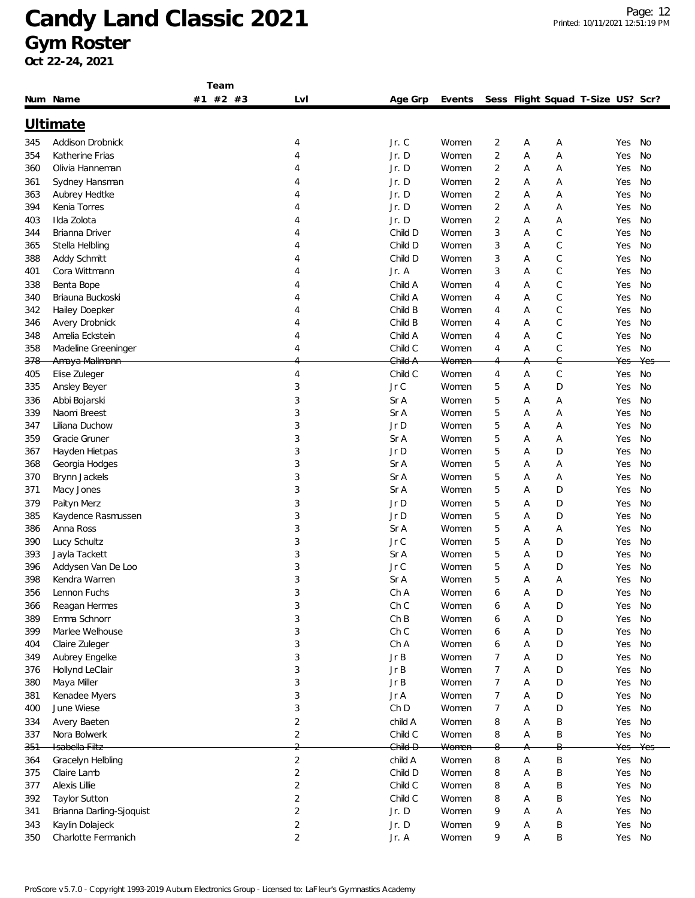|                |                               | Team     |                |         |                  |                |        |             |                                   |            |           |
|----------------|-------------------------------|----------|----------------|---------|------------------|----------------|--------|-------------|-----------------------------------|------------|-----------|
|                | Num Name                      | #1 #2 #3 | Lvl            | Age Grp | Events           |                |        |             | Sess Flight Squad T-Size US? Scr? |            |           |
|                | Ultimate                      |          |                |         |                  |                |        |             |                                   |            |           |
| 345            | Addison Drobnick              |          | 4              | Jr. C   | Women            | 2              | Α      | А           |                                   | Yes        | No        |
| 354            | Katherine Frias               |          | 4              | Jr. D   | Women            | $\overline{c}$ | Α      | Α           |                                   | Yes        | No        |
| 360            | Olivia Hanneman               |          | 4              | Jr. D   | Women            | 2              | Α      | Α           |                                   | Yes        | No        |
| 361            | Sydney Hansman                |          | 4              | Jr. D   | Women            | 2              | Α      | Α           |                                   | Yes        | No        |
|                |                               |          | 4              | Jr. D   | Women            | $\overline{2}$ | Α      | Α           |                                   | Yes        | No        |
| 363<br>394     | Aubrey Hedtke<br>Kenia Torres |          | 4              | Jr. D   |                  |                | Α      | Α           |                                   | Yes        | No        |
|                | Ilda Zolota                   |          | 4              | Jr. D   | Women            | 2<br>2         |        |             |                                   |            | No        |
| 403            | Brianna Driver                |          | 4              | Child D | Women            | 3              | Α<br>Α | Α<br>С      |                                   | Yes        | No        |
| 344            |                               |          | 4              | Child D | Women<br>Women   | 3              | Α      | $\mathsf C$ |                                   | Yes        | No        |
| 365            | Stella Helbling               |          |                | Child D |                  | 3              | Α      | С           |                                   | Yes<br>Yes | No        |
| 388            | Addy Schmitt                  |          | 4              |         | Women            |                |        |             |                                   |            |           |
| 401            | Cora Wittmann                 |          | 4              | Jr. A   | Women            | 3              | Α      | $\mathsf C$ |                                   | Yes        | No        |
| 338            | Benta Bope                    |          | 4              | Child A | Women            | 4              | Α      | $\mathsf C$ |                                   | Yes        | No        |
| 340            | Briauna Buckoski              |          | 4              | Child A | Women            | 4              | Α      | $\mathsf C$ |                                   | Yes        | No        |
| 342            | Hailey Doepker                |          | 4              | Child B | Women            | 4              | Α      | $\mathsf C$ |                                   | Yes        | No        |
| 346            | Avery Drobnick                |          | 4              | Child B | Women            | 4              | Α      | С           |                                   | Yes        | No        |
| 348            | Amelia Eckstein               |          | 4              | Child A | Women            | 4              | Α      | C           |                                   | Yes        | No        |
| 358            | Madeline Greeninger           |          | 4              | Child C | Women            | 4              | Α      | С           |                                   | Yes        | No        |
| <del>378</del> | Amaya Mallmann                |          |                | Child A | <del>Women</del> |                | А      | Ĝ           |                                   | Yes        | Yes       |
| 405            | Elise Zuleger                 |          | 4              | Child C | Women            | 4              | Α      | $\mathsf C$ |                                   | Yes        | No        |
| 335            | Ansley Beyer                  |          | 3              | Jr C    | Women            | 5              | Α      | D           |                                   | Yes        | No        |
| 336            | Abbi Bojarski                 |          | 3              | Sr A    | Women            | 5              | Α      | Α           |                                   | Yes        | No        |
| 339            | Naomi Breest                  |          | 3              | Sr A    | Women            | 5              | Α      | Α           |                                   | Yes        | No        |
| 347            | Liliana Duchow                |          | 3              | Jr D    | Women            | 5              | Α      | Α           |                                   | Yes        | No        |
| 359            | Gracie Gruner                 |          | 3              | Sr A    | Women            | 5              | Α      | Α           |                                   | Yes        | No        |
| 367            | Hayden Hietpas                |          | 3              | Jr D    | Women            | 5              | Α      | D           |                                   | Yes        | No        |
| 368            | Georgia Hodges                |          | 3              | Sr A    | Women            | 5              | Α      | Α           |                                   | Yes        | No        |
| 370            | Brynn Jackels                 |          | 3              | Sr A    | Women            | 5              | Α      | Α           |                                   | Yes        | No        |
| 371            | Macy Jones                    |          | 3              | Sr A    | Women            | 5              | Α      | D           |                                   | Yes        | No        |
| 379            | Paityn Merz                   |          | 3              | Jr D    | Women            | 5              | Α      | D           |                                   | Yes        | No        |
| 385            | Kaydence Rasmussen            |          | 3              | Jr D    | Women            | 5              | Α      | D           |                                   | Yes        | No        |
| 386            | Anna Ross                     |          | 3              | Sr A    | Women            | 5              | Α      | Α           |                                   | Yes        | No        |
| 390            | Lucy Schultz                  |          | 3              | Jr C    | Women            | 5              | Α      | D           |                                   | Yes        | No        |
| 393            | Jayla Tackett                 |          | 3              | Sr A    | Women            | 5              | Α      | D           |                                   | Yes        | No        |
| 396            | Addysen Van De Loo            |          | 3              | Jr C    | Women            | 5              | Α      | D           |                                   | Yes        | No        |
| 398            | Kendra Warren                 |          | 3              | Sr A    | Women            | 5              | Α      | Α           |                                   | Yes        | No        |
| 356            | Lennon Fuchs                  |          | 3              | Ch A    | Women            | 6              | Α      | D           |                                   | Yes        | No        |
| 366            | Reagan Hermes                 |          | 3              | Ch C    | Women            | 6              | А      | D           |                                   | Yes        | No        |
| 389            | Emma Schnorr                  |          | 3              | ChB     | Women            | 6              | Α      | D           |                                   | Yes        | <b>No</b> |
| 399            | Marlee Welhouse               |          | 3              | Ch C    | Women            | 6              | Α      | D           |                                   | Yes        | No        |
| 404            | Claire Zuleger                |          | 3              | Ch A    | Women            | 6              | Α      | D           |                                   | Yes        | No        |
| 349            | Aubrey Engelke                |          | 3              | JrB     | Women            | 7              | Α      | D           |                                   | Yes        | <b>No</b> |
| 376            | Hollynd LeClair               |          | 3              | JrB     | Women            | 7              | Α      | D           |                                   | Yes        | No        |
| 380            | Maya Miller                   |          | 3              | JrB     | Women            | 7              | Α      | D           |                                   | Yes        | No        |
| 381            | Kenadee Myers                 |          | 3              | Jr A    | Women            | 7              | Α      | D           |                                   | Yes        | No        |
| 400            | June Wiese                    |          | 3              | Ch D    | Women            | 7              | Α      | D           |                                   | Yes        | No        |
| 334            | Avery Baeten                  |          | $\overline{c}$ | child A | Women            | 8              | Α      | B           |                                   | Yes        | No        |
| 337            | Nora Bolwerk                  |          | $\overline{2}$ | Child C | Women            | 8              | Α      | B           |                                   | Yes        | No        |
| <del>351</del> | Isabella Filtz                |          | C              | Child D | Women            | 8              | A.     | Β           |                                   | Yes        | Yes       |
| 364            | Gracelyn Helbling             |          | $\overline{2}$ | child A | Women            | 8              | Α      | $\sf B$     |                                   | Yes        | No        |
| 375            | Claire Lamb                   |          | $\sqrt{2}$     | Child D | Women            | 8              | Α      | B           |                                   | Yes        | No        |
| 377            | Alexis Lillie                 |          | $\overline{2}$ | Child C | Women            | 8              | Α      | B           |                                   | Yes        | No        |
| 392            | <b>Taylor Sutton</b>          |          | $\overline{2}$ | Child C | Women            | 8              | Α      | B           |                                   | Yes        | No        |
| 341            | Brianna Darling-Sjoquist      |          | $\overline{2}$ | Jr. D   | Women            | 9              | Α      | Α           |                                   | Yes        | No        |
|                |                               |          |                |         |                  |                |        |             |                                   |            |           |
| 343            | Kaylin Dolajeck               |          | 2              | Jr. D   | Women            | 9              | Α      | B           |                                   | Yes        | No        |
| 350            | Charlotte Fermanich           |          | $\overline{2}$ | Jr. A   | Women            | 9              | Α      | Β           |                                   | Yes        | No        |